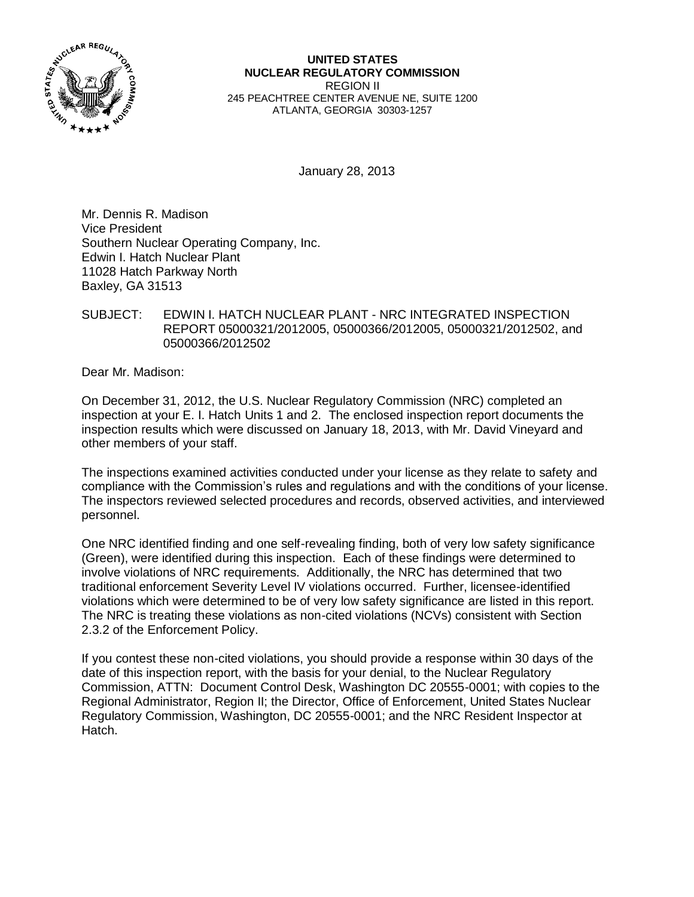

**UNITED STATES NUCLEAR REGULATORY COMMISSION** REGION II 245 PEACHTREE CENTER AVENUE NE, SUITE 1200 ATLANTA, GEORGIA 30303-1257

January 28, 2013

Mr. Dennis R. Madison Vice President Southern Nuclear Operating Company, Inc. Edwin I. Hatch Nuclear Plant 11028 Hatch Parkway North Baxley, GA 31513

## SUBJECT: EDWIN I. HATCH NUCLEAR PLANT - NRC INTEGRATED INSPECTION REPORT 05000321/2012005, 05000366/2012005, 05000321/2012502, and 05000366/2012502

Dear Mr. Madison:

On December 31, 2012, the U.S. Nuclear Regulatory Commission (NRC) completed an inspection at your E. I. Hatch Units 1 and 2. The enclosed inspection report documents the inspection results which were discussed on January 18, 2013, with Mr. David Vineyard and other members of your staff.

The inspections examined activities conducted under your license as they relate to safety and compliance with the Commission's rules and regulations and with the conditions of your license. The inspectors reviewed selected procedures and records, observed activities, and interviewed personnel.

One NRC identified finding and one self-revealing finding, both of very low safety significance (Green), were identified during this inspection. Each of these findings were determined to involve violations of NRC requirements. Additionally, the NRC has determined that two traditional enforcement Severity Level IV violations occurred. Further, licensee-identified violations which were determined to be of very low safety significance are listed in this report. The NRC is treating these violations as non-cited violations (NCVs) consistent with Section 2.3.2 of the Enforcement Policy.

If you contest these non-cited violations, you should provide a response within 30 days of the date of this inspection report, with the basis for your denial, to the Nuclear Regulatory Commission, ATTN: Document Control Desk, Washington DC 20555-0001; with copies to the Regional Administrator, Region II; the Director, Office of Enforcement, United States Nuclear Regulatory Commission, Washington, DC 20555-0001; and the NRC Resident Inspector at Hatch.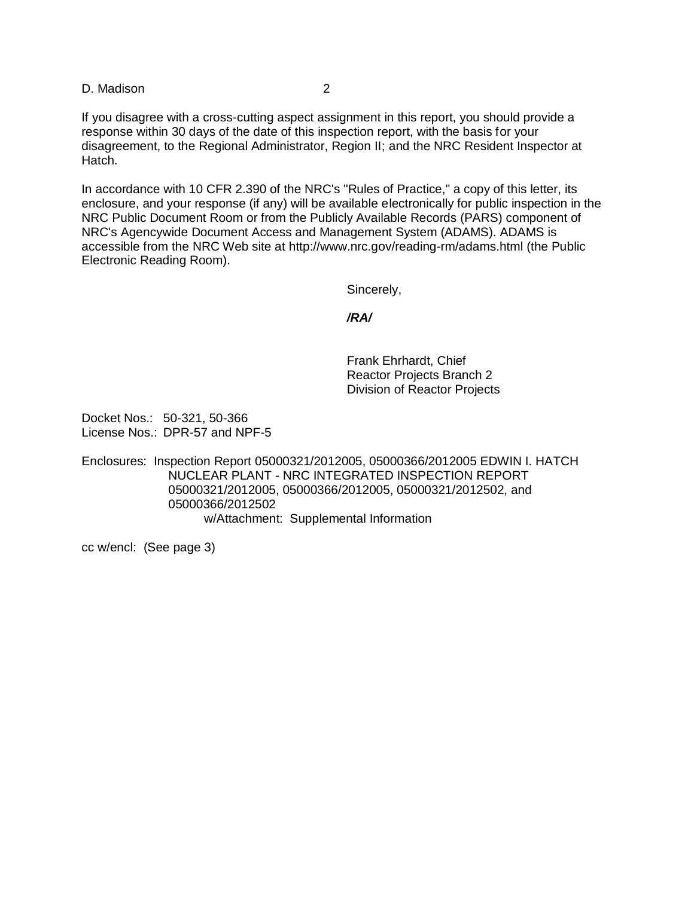If you disagree with a cross-cutting aspect assignment in this report, you should provide a response within 30 days of the date of this inspection report, with the basis for your disagreement, to the Regional Administrator, Region II; and the NRC Resident Inspector at Hatch.

In accordance with 10 CFR 2.390 of the NRC's "Rules of Practice," a copy of this letter, its enclosure, and your response (if any) will be available electronically for public inspection in the NRC Public Document Room or from the Publicly Available Records (PARS) component of NRC's Agencywide Document Access and Management System (ADAMS). ADAMS is accessible from the NRC Web site at http://www.nrc.gov/reading-rm/adams.html (the Public Electronic Reading Room).

Sincerely,

#### */RA/*

Frank Ehrhardt, Chief Reactor Projects Branch 2 Division of Reactor Projects

Docket Nos.: 50-321, 50-366 License Nos.: DPR-57 and NPF-5

Enclosures: Inspection Report 05000321/2012005, 05000366/2012005 EDWIN I. HATCH NUCLEAR PLANT - NRC INTEGRATED INSPECTION REPORT 05000321/2012005, 05000366/2012005, 05000321/2012502, and 05000366/2012502 w/Attachment: Supplemental Information

cc w/encl: (See page 3)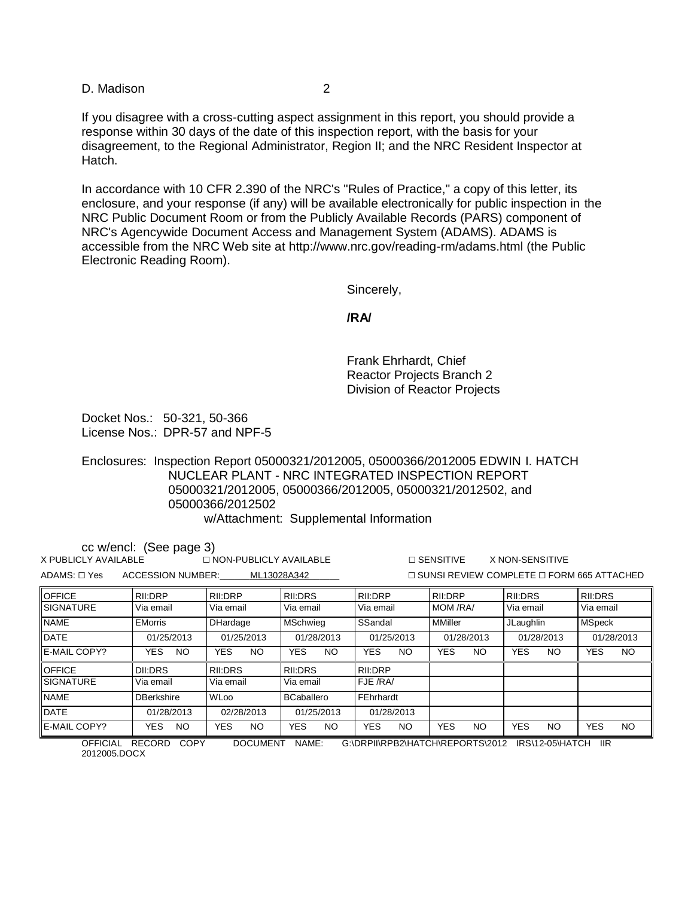If you disagree with a cross-cutting aspect assignment in this report, you should provide a response within 30 days of the date of this inspection report, with the basis for your disagreement, to the Regional Administrator, Region II; and the NRC Resident Inspector at Hatch.

In accordance with 10 CFR 2.390 of the NRC's "Rules of Practice," a copy of this letter, its enclosure, and your response (if any) will be available electronically for public inspection in the NRC Public Document Room or from the Publicly Available Records (PARS) component of NRC's Agencywide Document Access and Management System (ADAMS). ADAMS is accessible from the NRC Web site at http://www.nrc.gov/reading-rm/adams.html (the Public Electronic Reading Room).

Sincerely,

#### **/RA/**

Frank Ehrhardt, Chief Reactor Projects Branch 2 Division of Reactor Projects

Docket Nos.: 50-321, 50-366 License Nos.: DPR-57 and NPF-5

Enclosures: Inspection Report 05000321/2012005, 05000366/2012005 EDWIN I. HATCH NUCLEAR PLANT - NRC INTEGRATED INSPECTION REPORT 05000321/2012005, 05000366/2012005, 05000321/2012502, and 05000366/2012502 w/Attachment: Supplemental Information

| cc w/encl: (See page 3)<br>$\Box$ NON-PUBLICLY AVAILABLE<br>$\Box$ SENSITIVE<br>X PUBLICLY AVAILABLE<br>X NON-SENSITIVE |                   |                   |                   |                   |                   |                         |                   |
|-------------------------------------------------------------------------------------------------------------------------|-------------------|-------------------|-------------------|-------------------|-------------------|-------------------------|-------------------|
| $ADAMS: \Box Yes$<br>ACCESSION NUMBER:<br>$\sqcap$ SUNSI REVIEW COMPLETE $\sqcap$ FORM 665 ATTACHED<br>ML13028A342      |                   |                   |                   |                   |                   |                         |                   |
| <b>OFFICE</b>                                                                                                           | RII:DRP           | RII:DRP           | RII:DRS           | RII:DRP           | RII:DRP           | RII:DRS                 | RII:DRS           |
| <b>SIGNATURE</b>                                                                                                        | Via email         | Via email         | Via email         | Via email         | MOM /RA/          | Via email               | Via email         |
| <b>NAME</b>                                                                                                             | <b>EMorris</b>    | <b>DHardage</b>   | <b>MSchwieg</b>   | SSandal           | <b>MMiller</b>    | JLaughlin               | <b>MSpeck</b>     |
| <b>DATE</b>                                                                                                             | 01/25/2013        | 01/25/2013        | 01/28/2013        | 01/25/2013        | 01/28/2013        | 01/28/2013              | 01/28/2013        |
| E-MAIL COPY?                                                                                                            | YES.<br>NO.       | <b>YES</b><br>NO. | YES.<br>NO.       | <b>YES</b><br>NO. | <b>YES</b><br>NO. | <b>YES</b><br>NO.       | <b>YES</b><br>NO. |
| <b>OFFICE</b>                                                                                                           | DII:DRS           | RII:DRS           | RII:DRS           | RII:DRP           |                   |                         |                   |
| <b>SIGNATURE</b>                                                                                                        | Via email         | Via email         | Via email         | FJE /RA/          |                   |                         |                   |
| <b>NAME</b>                                                                                                             | <b>DBerkshire</b> | <b>WLoo</b>       | <b>BCaballero</b> | FEhrhardt         |                   |                         |                   |
| <b>DATE</b>                                                                                                             | 01/28/2013        | 02/28/2013        | 01/25/2013        | 01/28/2013        |                   |                         |                   |
| E-MAIL COPY?                                                                                                            | <b>YES</b><br>NO. | YES.<br>NO.       | YES.<br>NO.       | <b>YES</b><br>NO. | <b>YES</b><br>NO. | <b>YES</b><br><b>NO</b> | <b>YES</b><br>NO. |
| OFFICIAL<br>COPY<br>RECORD.<br>DOCLIMENT<br>NAMF<br>G\DRPINRPR2\HATCH\REPORTS\2012<br><b>IIR</b><br>IRS\12-05\HATCH     |                   |                   |                   |                   |                   |                         |                   |

CORD COPY DOCUMENT NAME: G:\DRPII\RPB2\HATCH\REPORTS\2012 IRS\12-05\HATCH 2012005.DOCX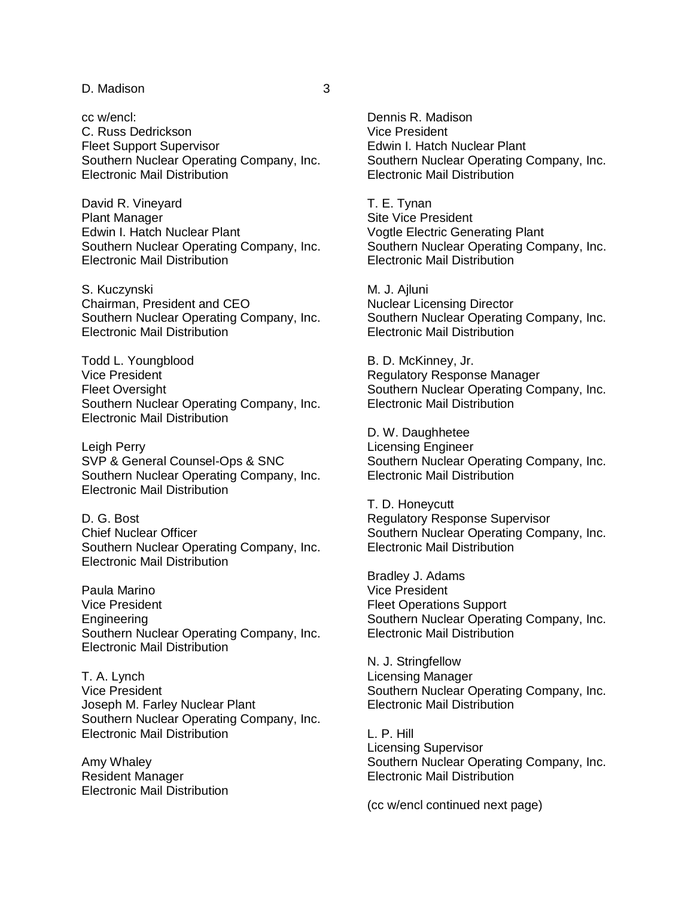cc w/encl: C. Russ Dedrickson Fleet Support Supervisor Southern Nuclear Operating Company, Inc. Electronic Mail Distribution

David R. Vineyard Plant Manager Edwin I. Hatch Nuclear Plant Southern Nuclear Operating Company, Inc. Electronic Mail Distribution

S. Kuczynski Chairman, President and CEO Southern Nuclear Operating Company, Inc. Electronic Mail Distribution

Todd L. Youngblood Vice President Fleet Oversight Southern Nuclear Operating Company, Inc. Electronic Mail Distribution

Leigh Perry SVP & General Counsel-Ops & SNC Southern Nuclear Operating Company, Inc. Electronic Mail Distribution

D. G. Bost Chief Nuclear Officer Southern Nuclear Operating Company, Inc. Electronic Mail Distribution

Paula Marino Vice President Engineering Southern Nuclear Operating Company, Inc. Electronic Mail Distribution

T. A. Lynch Vice President Joseph M. Farley Nuclear Plant Southern Nuclear Operating Company, Inc. Electronic Mail Distribution

Amy Whaley Resident Manager Electronic Mail Distribution Dennis R. Madison Vice President Edwin I. Hatch Nuclear Plant Southern Nuclear Operating Company, Inc. Electronic Mail Distribution

T. E. Tynan Site Vice President Vogtle Electric Generating Plant Southern Nuclear Operating Company, Inc. Electronic Mail Distribution

M. J. Ajluni Nuclear Licensing Director Southern Nuclear Operating Company, Inc. Electronic Mail Distribution

B. D. McKinney, Jr. Regulatory Response Manager Southern Nuclear Operating Company, Inc. Electronic Mail Distribution

D. W. Daughhetee Licensing Engineer Southern Nuclear Operating Company, Inc. Electronic Mail Distribution

T. D. Honeycutt Regulatory Response Supervisor Southern Nuclear Operating Company, Inc. Electronic Mail Distribution

Bradley J. Adams Vice President Fleet Operations Support Southern Nuclear Operating Company, Inc. Electronic Mail Distribution

N. J. Stringfellow Licensing Manager Southern Nuclear Operating Company, Inc. Electronic Mail Distribution

L. P. Hill Licensing Supervisor Southern Nuclear Operating Company, Inc. Electronic Mail Distribution

(cc w/encl continued next page)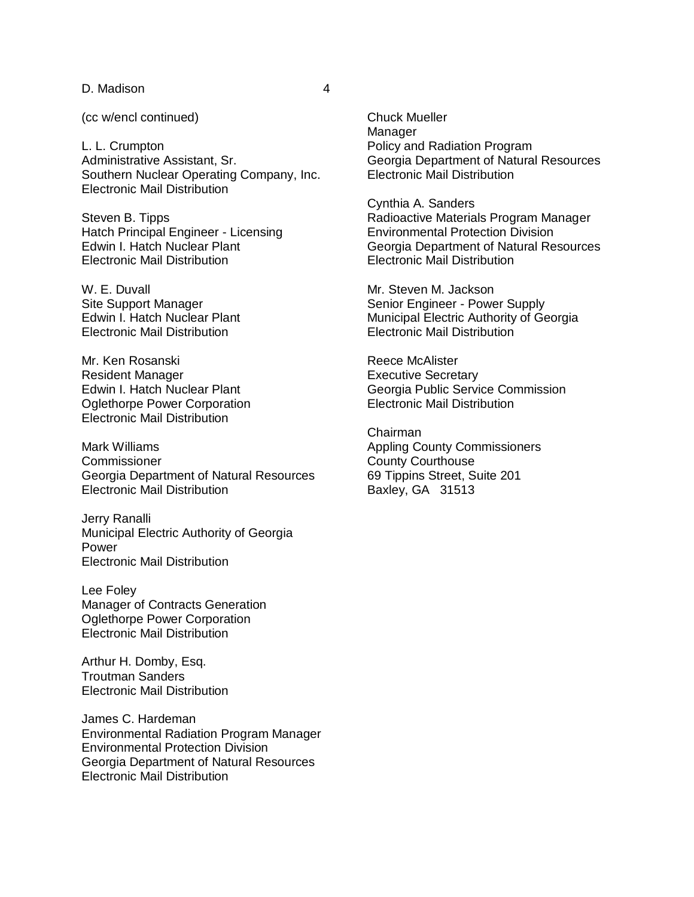(cc w/encl continued)

L. L. Crumpton Administrative Assistant, Sr. Southern Nuclear Operating Company, Inc. Electronic Mail Distribution

Steven B. Tipps Hatch Principal Engineer - Licensing Edwin I. Hatch Nuclear Plant Electronic Mail Distribution

W. E. Duvall Site Support Manager Edwin I. Hatch Nuclear Plant Electronic Mail Distribution

Mr. Ken Rosanski Resident Manager Edwin I. Hatch Nuclear Plant Oglethorpe Power Corporation Electronic Mail Distribution

Mark Williams **Commissioner** Georgia Department of Natural Resources Electronic Mail Distribution

Jerry Ranalli Municipal Electric Authority of Georgia Power Electronic Mail Distribution

Lee Foley Manager of Contracts Generation Oglethorpe Power Corporation Electronic Mail Distribution

Arthur H. Domby, Esq. Troutman Sanders Electronic Mail Distribution

James C. Hardeman Environmental Radiation Program Manager Environmental Protection Division Georgia Department of Natural Resources Electronic Mail Distribution

Chuck Mueller Manager Policy and Radiation Program Georgia Department of Natural Resources Electronic Mail Distribution

Cynthia A. Sanders Radioactive Materials Program Manager Environmental Protection Division Georgia Department of Natural Resources Electronic Mail Distribution

Mr. Steven M. Jackson Senior Engineer - Power Supply Municipal Electric Authority of Georgia Electronic Mail Distribution

Reece McAlister Executive Secretary Georgia Public Service Commission Electronic Mail Distribution

Chairman Appling County Commissioners County Courthouse 69 Tippins Street, Suite 201 Baxley, GA 31513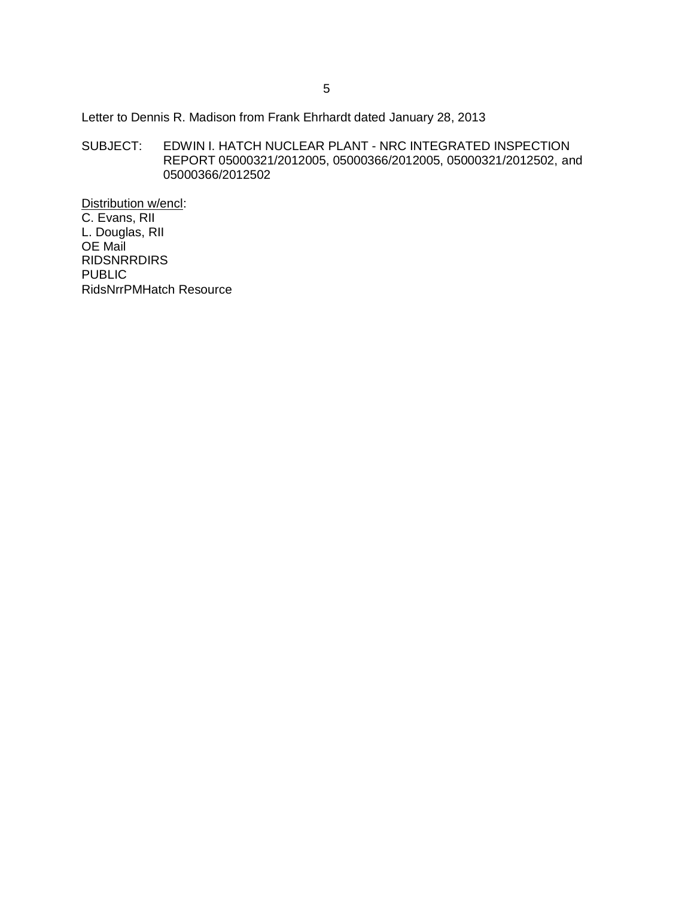Letter to Dennis R. Madison from Frank Ehrhardt dated January 28, 2013

SUBJECT: EDWIN I. HATCH NUCLEAR PLANT - NRC INTEGRATED INSPECTION REPORT 05000321/2012005, 05000366/2012005, 05000321/2012502, and 05000366/2012502

Distribution w/encl: C. Evans, RII L. Douglas, RII OE Mail RIDSNRRDIRS PUBLIC RidsNrrPMHatch Resource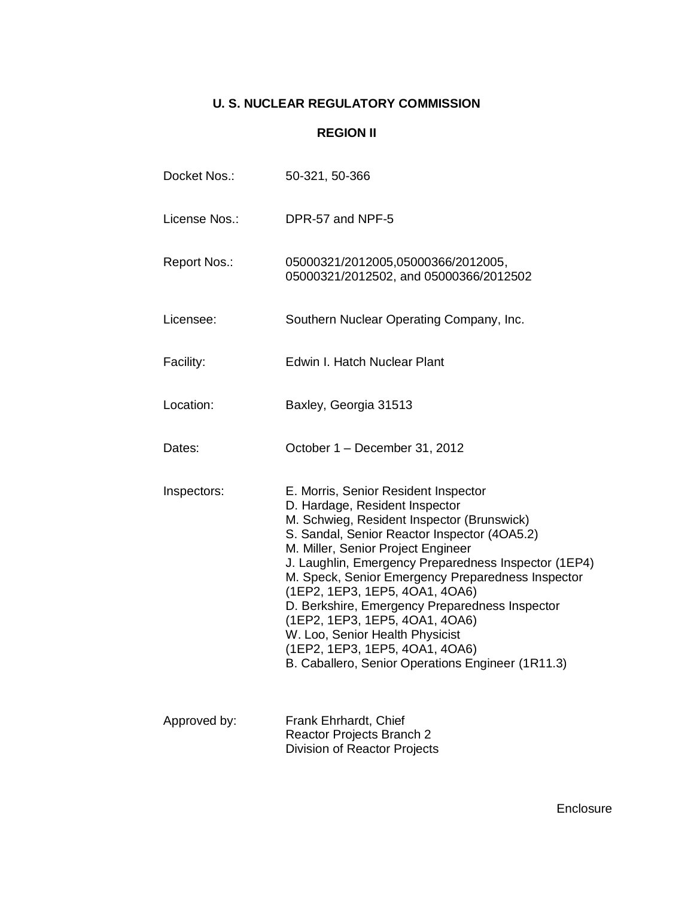## **U. S. NUCLEAR REGULATORY COMMISSION**

## **REGION II**

| Docket Nos.:  | 50-321, 50-366                                                                                                                                                                                                                                                                                                                                                                                                                                                                                                                                                          |
|---------------|-------------------------------------------------------------------------------------------------------------------------------------------------------------------------------------------------------------------------------------------------------------------------------------------------------------------------------------------------------------------------------------------------------------------------------------------------------------------------------------------------------------------------------------------------------------------------|
| License Nos.: | DPR-57 and NPF-5                                                                                                                                                                                                                                                                                                                                                                                                                                                                                                                                                        |
| Report Nos.:  | 05000321/2012005,05000366/2012005,<br>05000321/2012502, and 05000366/2012502                                                                                                                                                                                                                                                                                                                                                                                                                                                                                            |
| Licensee:     | Southern Nuclear Operating Company, Inc.                                                                                                                                                                                                                                                                                                                                                                                                                                                                                                                                |
| Facility:     | Edwin I. Hatch Nuclear Plant                                                                                                                                                                                                                                                                                                                                                                                                                                                                                                                                            |
| Location:     | Baxley, Georgia 31513                                                                                                                                                                                                                                                                                                                                                                                                                                                                                                                                                   |
| Dates:        | October 1 - December 31, 2012                                                                                                                                                                                                                                                                                                                                                                                                                                                                                                                                           |
| Inspectors:   | E. Morris, Senior Resident Inspector<br>D. Hardage, Resident Inspector<br>M. Schwieg, Resident Inspector (Brunswick)<br>S. Sandal, Senior Reactor Inspector (4OA5.2)<br>M. Miller, Senior Project Engineer<br>J. Laughlin, Emergency Preparedness Inspector (1EP4)<br>M. Speck, Senior Emergency Preparedness Inspector<br>(1EP2, 1EP3, 1EP5, 4OA1, 4OA6)<br>D. Berkshire, Emergency Preparedness Inspector<br>(1EP2, 1EP3, 1EP5, 4OA1, 4OA6)<br>W. Loo, Senior Health Physicist<br>(1EP2, 1EP3, 1EP5, 4OA1, 4OA6)<br>B. Caballero, Senior Operations Engineer (1R11.3) |
| Approved by:  | Frank Ehrhardt, Chief<br>Reactor Projects Branch 2<br><b>Division of Reactor Projects</b>                                                                                                                                                                                                                                                                                                                                                                                                                                                                               |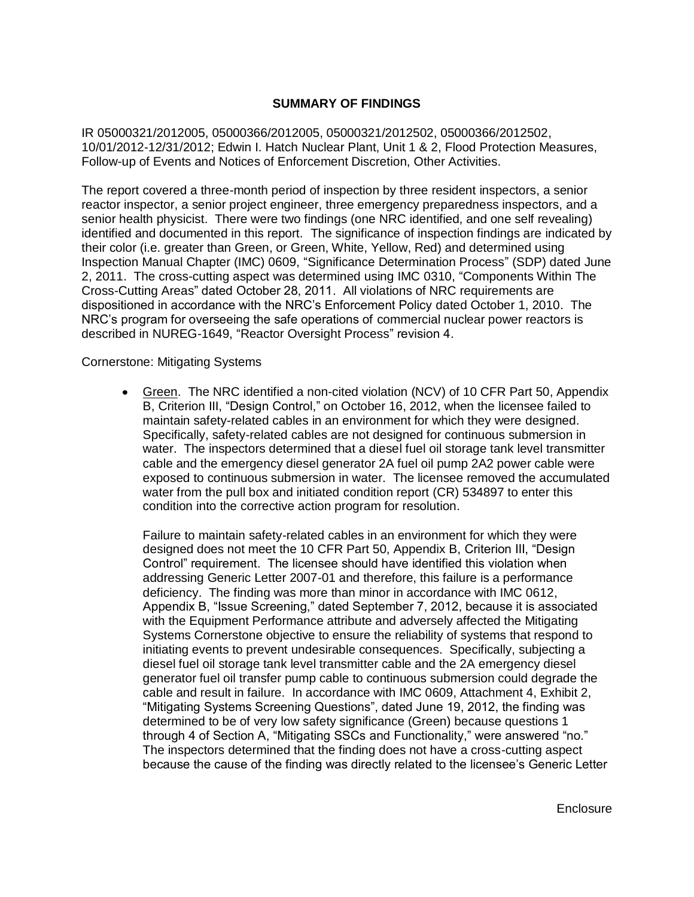## **SUMMARY OF FINDINGS**

IR 05000321/2012005, 05000366/2012005, 05000321/2012502, 05000366/2012502, 10/01/2012-12/31/2012; Edwin I. Hatch Nuclear Plant, Unit 1 & 2, Flood Protection Measures, Follow-up of Events and Notices of Enforcement Discretion, Other Activities.

The report covered a three-month period of inspection by three resident inspectors, a senior reactor inspector, a senior project engineer, three emergency preparedness inspectors, and a senior health physicist. There were two findings (one NRC identified, and one self revealing) identified and documented in this report. The significance of inspection findings are indicated by their color (i.e. greater than Green, or Green, White, Yellow, Red) and determined using Inspection Manual Chapter (IMC) 0609, "Significance Determination Process" (SDP) dated June 2, 2011. The cross-cutting aspect was determined using IMC 0310, "Components Within The Cross-Cutting Areas" dated October 28, 2011. All violations of NRC requirements are dispositioned in accordance with the NRC's Enforcement Policy dated October 1, 2010. The NRC's program for overseeing the safe operations of commercial nuclear power reactors is described in NUREG-1649, "Reactor Oversight Process" revision 4.

Cornerstone: Mitigating Systems

Green. The NRC identified a non-cited violation (NCV) of 10 CFR Part 50, Appendix  $\bullet$ B, Criterion III, "Design Control," on October 16, 2012, when the licensee failed to maintain safety-related cables in an environment for which they were designed. Specifically, safety-related cables are not designed for continuous submersion in water. The inspectors determined that a diesel fuel oil storage tank level transmitter cable and the emergency diesel generator 2A fuel oil pump 2A2 power cable were exposed to continuous submersion in water. The licensee removed the accumulated water from the pull box and initiated condition report (CR) 534897 to enter this condition into the corrective action program for resolution.

Failure to maintain safety-related cables in an environment for which they were designed does not meet the 10 CFR Part 50, Appendix B, Criterion III, "Design Control" requirement. The licensee should have identified this violation when addressing Generic Letter 2007-01 and therefore, this failure is a performance deficiency. The finding was more than minor in accordance with IMC 0612, Appendix B, "Issue Screening," dated September 7, 2012, because it is associated with the Equipment Performance attribute and adversely affected the Mitigating Systems Cornerstone objective to ensure the reliability of systems that respond to initiating events to prevent undesirable consequences. Specifically, subjecting a diesel fuel oil storage tank level transmitter cable and the 2A emergency diesel generator fuel oil transfer pump cable to continuous submersion could degrade the cable and result in failure. In accordance with IMC 0609, Attachment 4, Exhibit 2, "Mitigating Systems Screening Questions", dated June 19, 2012, the finding was determined to be of very low safety significance (Green) because questions 1 through 4 of Section A, "Mitigating SSCs and Functionality," were answered "no." The inspectors determined that the finding does not have a cross-cutting aspect because the cause of the finding was directly related to the licensee's Generic Letter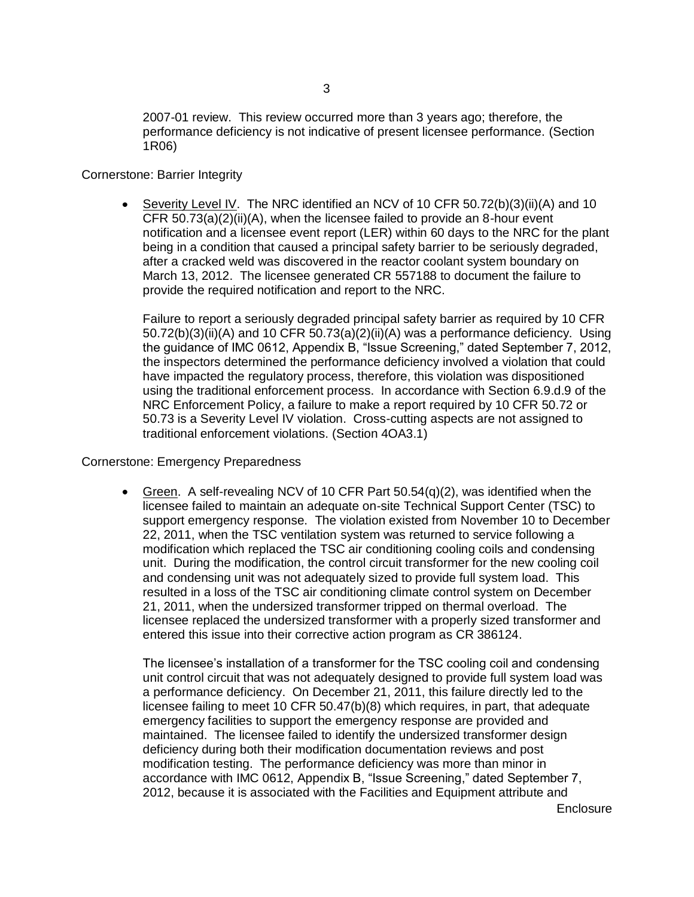2007-01 review. This review occurred more than 3 years ago; therefore, the performance deficiency is not indicative of present licensee performance. (Section 1R06)

## Cornerstone: Barrier Integrity

Severity Level IV. The NRC identified an NCV of 10 CFR 50.72(b)(3)(ii)(A) and 10 CFR 50.73(a)(2)(ii)(A), when the licensee failed to provide an 8-hour event notification and a licensee event report (LER) within 60 days to the NRC for the plant being in a condition that caused a principal safety barrier to be seriously degraded, after a cracked weld was discovered in the reactor coolant system boundary on March 13, 2012. The licensee generated CR 557188 to document the failure to provide the required notification and report to the NRC.

Failure to report a seriously degraded principal safety barrier as required by 10 CFR  $50.72(b)(3)(ii)(A)$  and 10 CFR  $50.73(a)(2)(ii)(A)$  was a performance deficiency. Using the guidance of IMC 0612, Appendix B, "Issue Screening," dated September 7, 2012, the inspectors determined the performance deficiency involved a violation that could have impacted the regulatory process, therefore, this violation was dispositioned using the traditional enforcement process. In accordance with Section 6.9.d.9 of the NRC Enforcement Policy, a failure to make a report required by 10 CFR 50.72 or 50.73 is a Severity Level IV violation. Cross-cutting aspects are not assigned to traditional enforcement violations. (Section 4OA3.1)

## Cornerstone: Emergency Preparedness

Green. A self-revealing NCV of 10 CFR Part 50.54(q)(2), was identified when the licensee failed to maintain an adequate on-site Technical Support Center (TSC) to support emergency response. The violation existed from November 10 to December 22, 2011, when the TSC ventilation system was returned to service following a modification which replaced the TSC air conditioning cooling coils and condensing unit. During the modification, the control circuit transformer for the new cooling coil and condensing unit was not adequately sized to provide full system load. This resulted in a loss of the TSC air conditioning climate control system on December 21, 2011, when the undersized transformer tripped on thermal overload. The licensee replaced the undersized transformer with a properly sized transformer and entered this issue into their corrective action program as CR 386124.

The licensee's installation of a transformer for the TSC cooling coil and condensing unit control circuit that was not adequately designed to provide full system load was a performance deficiency. On December 21, 2011, this failure directly led to the licensee failing to meet 10 CFR 50.47(b)(8) which requires, in part, that adequate emergency facilities to support the emergency response are provided and maintained. The licensee failed to identify the undersized transformer design deficiency during both their modification documentation reviews and post modification testing. The performance deficiency was more than minor in accordance with IMC 0612, Appendix B, "Issue Screening," dated September 7, 2012, because it is associated with the Facilities and Equipment attribute and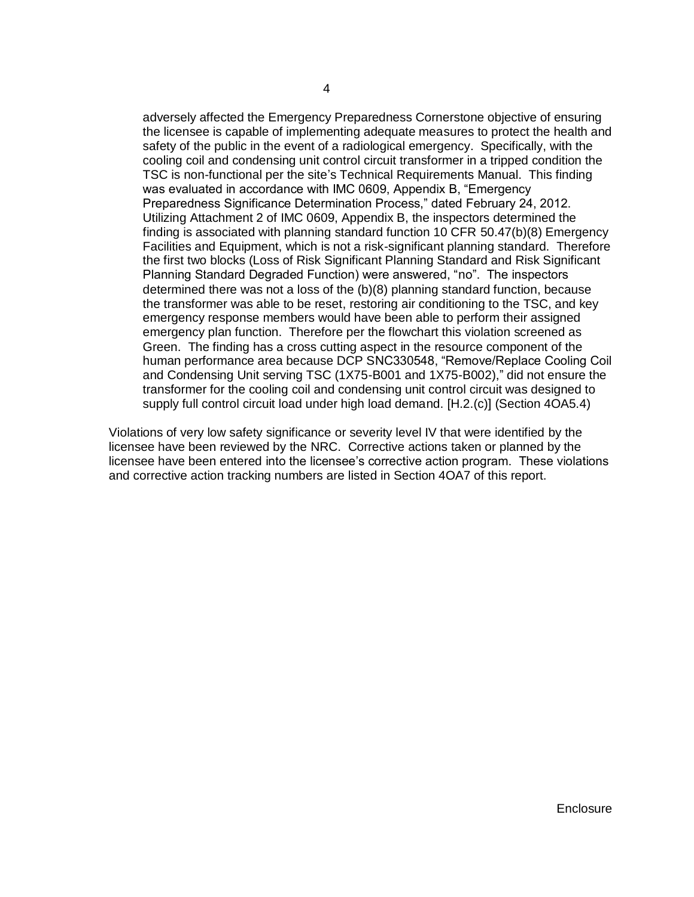adversely affected the Emergency Preparedness Cornerstone objective of ensuring the licensee is capable of implementing adequate measures to protect the health and safety of the public in the event of a radiological emergency. Specifically, with the cooling coil and condensing unit control circuit transformer in a tripped condition the TSC is non-functional per the site's Technical Requirements Manual. This finding was evaluated in accordance with IMC 0609, Appendix B, "Emergency Preparedness Significance Determination Process," dated February 24, 2012. Utilizing Attachment 2 of IMC 0609, Appendix B, the inspectors determined the finding is associated with planning standard function 10 CFR 50.47(b)(8) Emergency Facilities and Equipment, which is not a risk-significant planning standard. Therefore the first two blocks (Loss of Risk Significant Planning Standard and Risk Significant Planning Standard Degraded Function) were answered, "no". The inspectors determined there was not a loss of the (b)(8) planning standard function, because the transformer was able to be reset, restoring air conditioning to the TSC, and key emergency response members would have been able to perform their assigned emergency plan function. Therefore per the flowchart this violation screened as Green. The finding has a cross cutting aspect in the resource component of the human performance area because DCP SNC330548, "Remove/Replace Cooling Coil and Condensing Unit serving TSC (1X75-B001 and 1X75-B002)," did not ensure the transformer for the cooling coil and condensing unit control circuit was designed to supply full control circuit load under high load demand. [H.2.(c)] (Section 4OA5.4)

Violations of very low safety significance or severity level IV that were identified by the licensee have been reviewed by the NRC. Corrective actions taken or planned by the licensee have been entered into the licensee's corrective action program. These violations and corrective action tracking numbers are listed in Section 4OA7 of this report.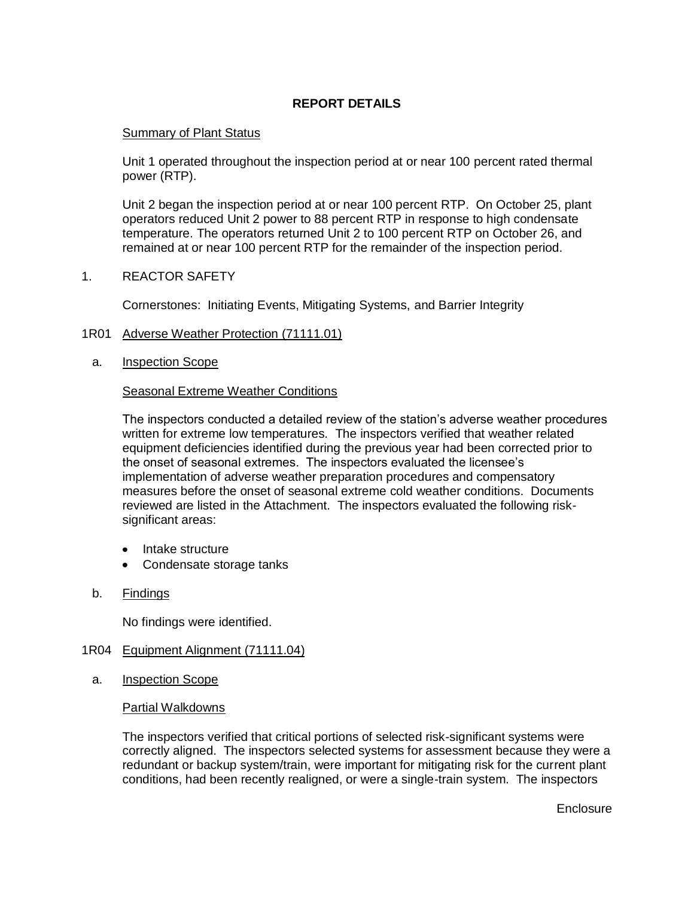## **REPORT DETAILS**

## Summary of Plant Status

Unit 1 operated throughout the inspection period at or near 100 percent rated thermal power (RTP).

Unit 2 began the inspection period at or near 100 percent RTP. On October 25, plant operators reduced Unit 2 power to 88 percent RTP in response to high condensate temperature. The operators returned Unit 2 to 100 percent RTP on October 26, and remained at or near 100 percent RTP for the remainder of the inspection period.

1. REACTOR SAFETY

Cornerstones: Initiating Events, Mitigating Systems, and Barrier Integrity

- 1R01 Adverse Weather Protection (71111.01)
	- a. Inspection Scope

## Seasonal Extreme Weather Conditions

The inspectors conducted a detailed review of the station's adverse weather procedures written for extreme low temperatures. The inspectors verified that weather related equipment deficiencies identified during the previous year had been corrected prior to the onset of seasonal extremes. The inspectors evaluated the licensee's implementation of adverse weather preparation procedures and compensatory measures before the onset of seasonal extreme cold weather conditions. Documents reviewed are listed in the Attachment. The inspectors evaluated the following risksignificant areas:

- Intake structure
- Condensate storage tanks
- b. Findings

No findings were identified.

## 1R04 Equipment Alignment (71111.04)

a. Inspection Scope

## Partial Walkdowns

The inspectors verified that critical portions of selected risk-significant systems were correctly aligned. The inspectors selected systems for assessment because they were a redundant or backup system/train, were important for mitigating risk for the current plant conditions, had been recently realigned, or were a single-train system. The inspectors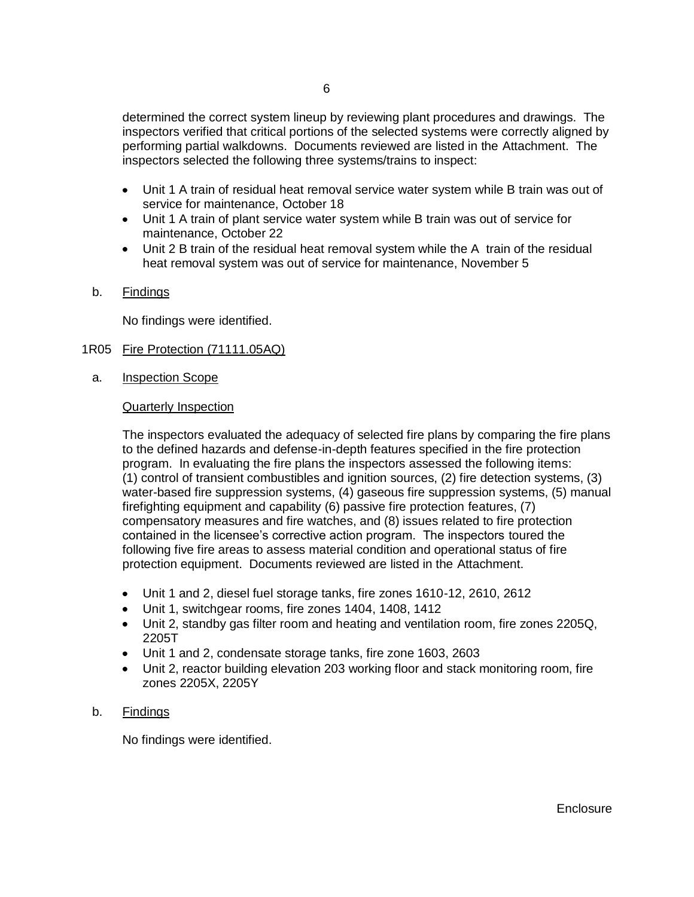determined the correct system lineup by reviewing plant procedures and drawings. The inspectors verified that critical portions of the selected systems were correctly aligned by performing partial walkdowns. Documents reviewed are listed in the Attachment. The inspectors selected the following three systems/trains to inspect:

- Unit 1 A train of residual heat removal service water system while B train was out of service for maintenance, October 18
- Unit 1 A train of plant service water system while B train was out of service for maintenance, October 22
- Unit 2 B train of the residual heat removal system while the A train of the residual heat removal system was out of service for maintenance, November 5
- b. Findings

No findings were identified.

- 1R05 Fire Protection (71111.05AQ)
	- a. Inspection Scope

## Quarterly Inspection

The inspectors evaluated the adequacy of selected fire plans by comparing the fire plans to the defined hazards and defense-in-depth features specified in the fire protection program. In evaluating the fire plans the inspectors assessed the following items: (1) control of transient combustibles and ignition sources, (2) fire detection systems, (3) water-based fire suppression systems, (4) gaseous fire suppression systems, (5) manual firefighting equipment and capability (6) passive fire protection features, (7) compensatory measures and fire watches, and (8) issues related to fire protection contained in the licensee's corrective action program. The inspectors toured the following five fire areas to assess material condition and operational status of fire protection equipment. Documents reviewed are listed in the Attachment.

- Unit 1 and 2, diesel fuel storage tanks, fire zones 1610-12, 2610, 2612
- Unit 1, switchgear rooms, fire zones 1404, 1408, 1412
- Unit 2, standby gas filter room and heating and ventilation room, fire zones 2205Q, 2205T
- Unit 1 and 2, condensate storage tanks, fire zone 1603, 2603
- Unit 2, reactor building elevation 203 working floor and stack monitoring room, fire zones 2205X, 2205Y

## b. Findings

No findings were identified.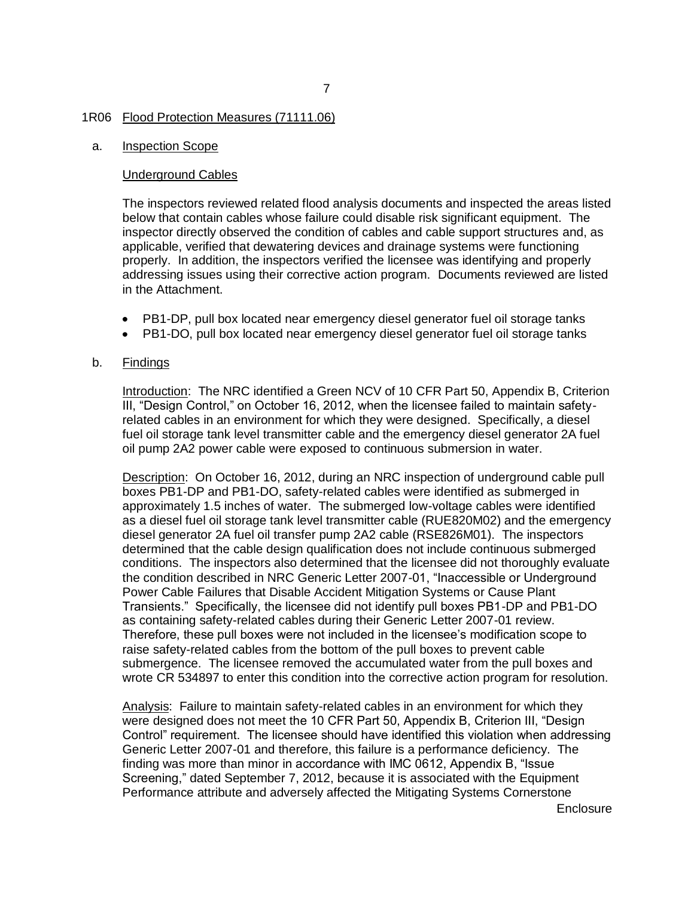#### 7

#### 1R06 Flood Protection Measures (71111.06)

#### a. Inspection Scope

#### Underground Cables

The inspectors reviewed related flood analysis documents and inspected the areas listed below that contain cables whose failure could disable risk significant equipment. The inspector directly observed the condition of cables and cable support structures and, as applicable, verified that dewatering devices and drainage systems were functioning properly. In addition, the inspectors verified the licensee was identifying and properly addressing issues using their corrective action program. Documents reviewed are listed in the Attachment.

- PB1-DP, pull box located near emergency diesel generator fuel oil storage tanks
- PB1-DO, pull box located near emergency diesel generator fuel oil storage tanks

#### b. Findings

Introduction: The NRC identified a Green NCV of 10 CFR Part 50, Appendix B, Criterion III, "Design Control," on October 16, 2012, when the licensee failed to maintain safetyrelated cables in an environment for which they were designed. Specifically, a diesel fuel oil storage tank level transmitter cable and the emergency diesel generator 2A fuel oil pump 2A2 power cable were exposed to continuous submersion in water.

Description: On October 16, 2012, during an NRC inspection of underground cable pull boxes PB1-DP and PB1-DO, safety-related cables were identified as submerged in approximately 1.5 inches of water. The submerged low-voltage cables were identified as a diesel fuel oil storage tank level transmitter cable (RUE820M02) and the emergency diesel generator 2A fuel oil transfer pump 2A2 cable (RSE826M01). The inspectors determined that the cable design qualification does not include continuous submerged conditions. The inspectors also determined that the licensee did not thoroughly evaluate the condition described in NRC Generic Letter 2007-01, "Inaccessible or Underground Power Cable Failures that Disable Accident Mitigation Systems or Cause Plant Transients." Specifically, the licensee did not identify pull boxes PB1-DP and PB1-DO as containing safety-related cables during their Generic Letter 2007-01 review. Therefore, these pull boxes were not included in the licensee's modification scope to raise safety-related cables from the bottom of the pull boxes to prevent cable submergence. The licensee removed the accumulated water from the pull boxes and wrote CR 534897 to enter this condition into the corrective action program for resolution.

Analysis: Failure to maintain safety-related cables in an environment for which they were designed does not meet the 10 CFR Part 50, Appendix B, Criterion III, "Design Control" requirement. The licensee should have identified this violation when addressing Generic Letter 2007-01 and therefore, this failure is a performance deficiency. The finding was more than minor in accordance with IMC 0612, Appendix B, "Issue Screening," dated September 7, 2012, because it is associated with the Equipment Performance attribute and adversely affected the Mitigating Systems Cornerstone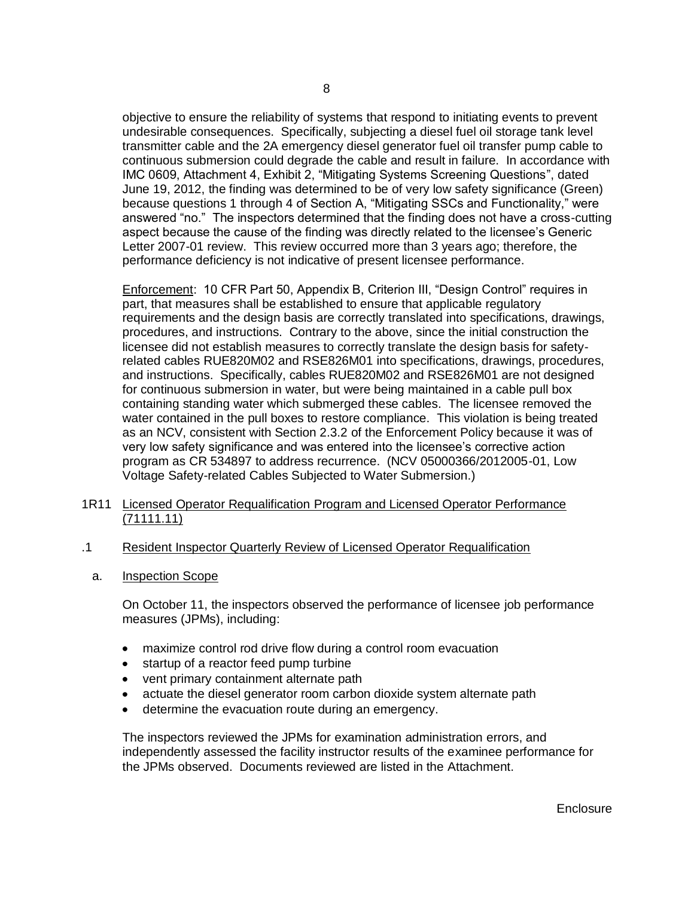objective to ensure the reliability of systems that respond to initiating events to prevent undesirable consequences. Specifically, subjecting a diesel fuel oil storage tank level transmitter cable and the 2A emergency diesel generator fuel oil transfer pump cable to continuous submersion could degrade the cable and result in failure. In accordance with IMC 0609, Attachment 4, Exhibit 2, "Mitigating Systems Screening Questions", dated June 19, 2012, the finding was determined to be of very low safety significance (Green) because questions 1 through 4 of Section A, "Mitigating SSCs and Functionality," were answered "no." The inspectors determined that the finding does not have a cross-cutting aspect because the cause of the finding was directly related to the licensee's Generic Letter 2007-01 review. This review occurred more than 3 years ago; therefore, the performance deficiency is not indicative of present licensee performance.

Enforcement: 10 CFR Part 50, Appendix B, Criterion III, "Design Control" requires in part, that measures shall be established to ensure that applicable regulatory requirements and the design basis are correctly translated into specifications, drawings, procedures, and instructions. Contrary to the above, since the initial construction the licensee did not establish measures to correctly translate the design basis for safetyrelated cables RUE820M02 and RSE826M01 into specifications, drawings, procedures, and instructions. Specifically, cables RUE820M02 and RSE826M01 are not designed for continuous submersion in water, but were being maintained in a cable pull box containing standing water which submerged these cables. The licensee removed the water contained in the pull boxes to restore compliance. This violation is being treated as an NCV, consistent with Section 2.3.2 of the Enforcement Policy because it was of very low safety significance and was entered into the licensee's corrective action program as CR 534897 to address recurrence. (NCV 05000366/2012005-01, Low Voltage Safety-related Cables Subjected to Water Submersion.)

- 1R11 Licensed Operator Requalification Program and Licensed Operator Performance (71111.11)
- .1 Resident Inspector Quarterly Review of Licensed Operator Requalification
	- a. Inspection Scope

On October 11, the inspectors observed the performance of licensee job performance measures (JPMs), including:

- maximize control rod drive flow during a control room evacuation
- startup of a reactor feed pump turbine
- vent primary containment alternate path
- actuate the diesel generator room carbon dioxide system alternate path
- determine the evacuation route during an emergency.

The inspectors reviewed the JPMs for examination administration errors, and independently assessed the facility instructor results of the examinee performance for the JPMs observed. Documents reviewed are listed in the Attachment.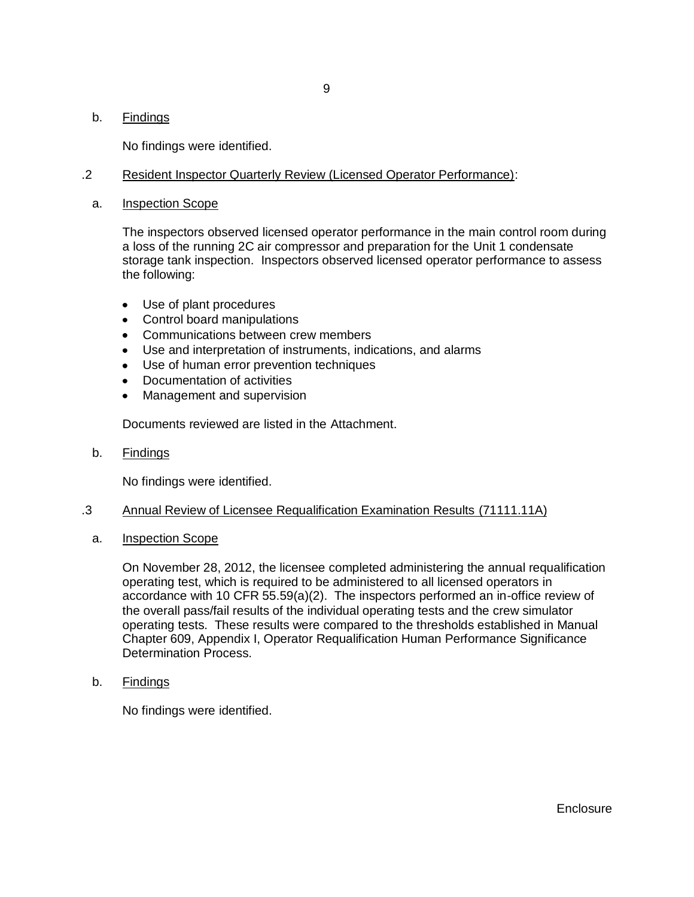## b. Findings

No findings were identified.

## .2 Resident Inspector Quarterly Review (Licensed Operator Performance):

a. Inspection Scope

The inspectors observed licensed operator performance in the main control room during a loss of the running 2C air compressor and preparation for the Unit 1 condensate storage tank inspection. Inspectors observed licensed operator performance to assess the following:

- Use of plant procedures
- Control board manipulations
- Communications between crew members
- Use and interpretation of instruments, indications, and alarms
- Use of human error prevention techniques
- Documentation of activities
- Management and supervision

Documents reviewed are listed in the Attachment.

b. Findings

No findings were identified.

## .3 Annual Review of Licensee Requalification Examination Results (71111.11A)

a. Inspection Scope

On November 28, 2012, the licensee completed administering the annual requalification operating test, which is required to be administered to all licensed operators in accordance with 10 CFR 55.59(a)(2). The inspectors performed an in-office review of the overall pass/fail results of the individual operating tests and the crew simulator operating tests. These results were compared to the thresholds established in Manual Chapter 609, Appendix I, Operator Requalification Human Performance Significance Determination Process.

b. Findings

No findings were identified.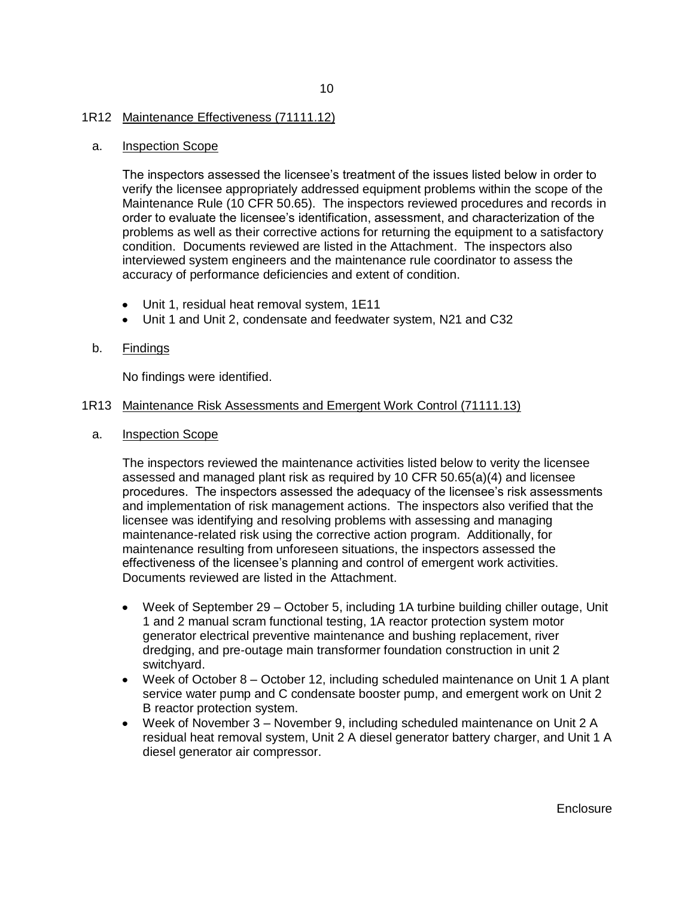#### 1R12 Maintenance Effectiveness (71111.12)

#### a. Inspection Scope

The inspectors assessed the licensee's treatment of the issues listed below in order to verify the licensee appropriately addressed equipment problems within the scope of the Maintenance Rule (10 CFR 50.65). The inspectors reviewed procedures and records in order to evaluate the licensee's identification, assessment, and characterization of the problems as well as their corrective actions for returning the equipment to a satisfactory condition. Documents reviewed are listed in the Attachment. The inspectors also interviewed system engineers and the maintenance rule coordinator to assess the accuracy of performance deficiencies and extent of condition.

- Unit 1, residual heat removal system, 1E11
- Unit 1 and Unit 2, condensate and feedwater system, N21 and C32

#### b. Findings

No findings were identified.

#### 1R13 Maintenance Risk Assessments and Emergent Work Control (71111.13)

a. Inspection Scope

The inspectors reviewed the maintenance activities listed below to verity the licensee assessed and managed plant risk as required by 10 CFR 50.65(a)(4) and licensee procedures. The inspectors assessed the adequacy of the licensee's risk assessments and implementation of risk management actions. The inspectors also verified that the licensee was identifying and resolving problems with assessing and managing maintenance-related risk using the corrective action program. Additionally, for maintenance resulting from unforeseen situations, the inspectors assessed the effectiveness of the licensee's planning and control of emergent work activities. Documents reviewed are listed in the Attachment.

- Week of September 29 October 5, including 1A turbine building chiller outage, Unit 1 and 2 manual scram functional testing, 1A reactor protection system motor generator electrical preventive maintenance and bushing replacement, river dredging, and pre-outage main transformer foundation construction in unit 2 switchyard.
- Week of October 8 October 12, including scheduled maintenance on Unit 1 A plant service water pump and C condensate booster pump, and emergent work on Unit 2 B reactor protection system.
- Week of November 3 November 9, including scheduled maintenance on Unit 2 A residual heat removal system, Unit 2 A diesel generator battery charger, and Unit 1 A diesel generator air compressor.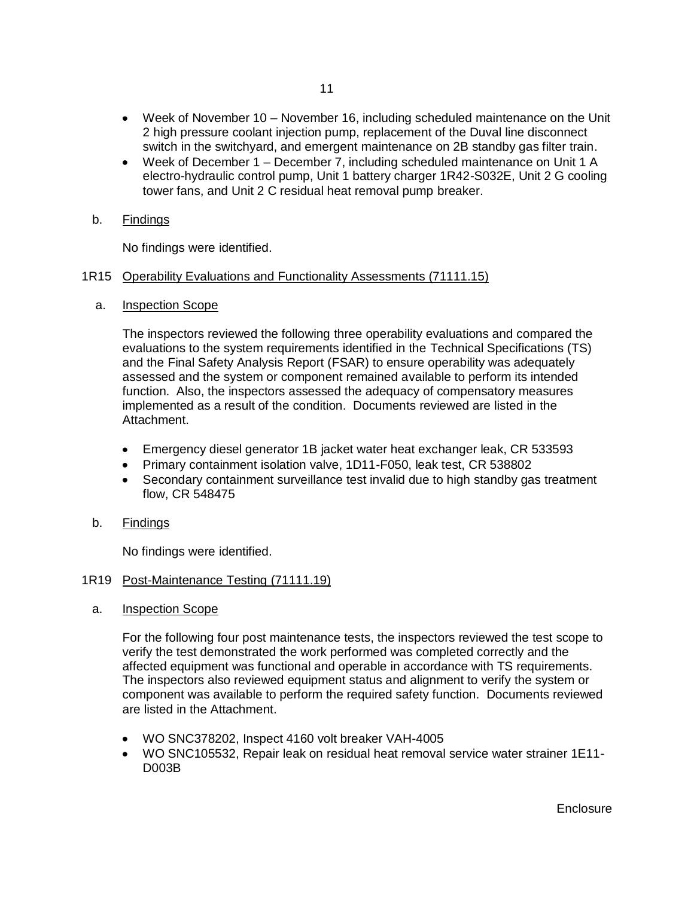- Week of November 10 November 16, including scheduled maintenance on the Unit 2 high pressure coolant injection pump, replacement of the Duval line disconnect switch in the switchyard, and emergent maintenance on 2B standby gas filter train.
- Week of December 1 December 7, including scheduled maintenance on Unit 1 A electro-hydraulic control pump, Unit 1 battery charger 1R42-S032E, Unit 2 G cooling tower fans, and Unit 2 C residual heat removal pump breaker.
- b. Findings

No findings were identified.

## 1R15 Operability Evaluations and Functionality Assessments (71111.15)

a. Inspection Scope

The inspectors reviewed the following three operability evaluations and compared the evaluations to the system requirements identified in the Technical Specifications (TS) and the Final Safety Analysis Report (FSAR) to ensure operability was adequately assessed and the system or component remained available to perform its intended function. Also, the inspectors assessed the adequacy of compensatory measures implemented as a result of the condition. Documents reviewed are listed in the Attachment.

- Emergency diesel generator 1B jacket water heat exchanger leak, CR 533593
- Primary containment isolation valve, 1D11-F050, leak test, CR 538802
- Secondary containment surveillance test invalid due to high standby gas treatment flow, CR 548475
- b. Findings

No findings were identified.

## 1R19 Post-Maintenance Testing (71111.19)

a. Inspection Scope

For the following four post maintenance tests, the inspectors reviewed the test scope to verify the test demonstrated the work performed was completed correctly and the affected equipment was functional and operable in accordance with TS requirements. The inspectors also reviewed equipment status and alignment to verify the system or component was available to perform the required safety function. Documents reviewed are listed in the Attachment.

- WO SNC378202, Inspect 4160 volt breaker VAH-4005
- WO SNC105532, Repair leak on residual heat removal service water strainer 1E11- D003B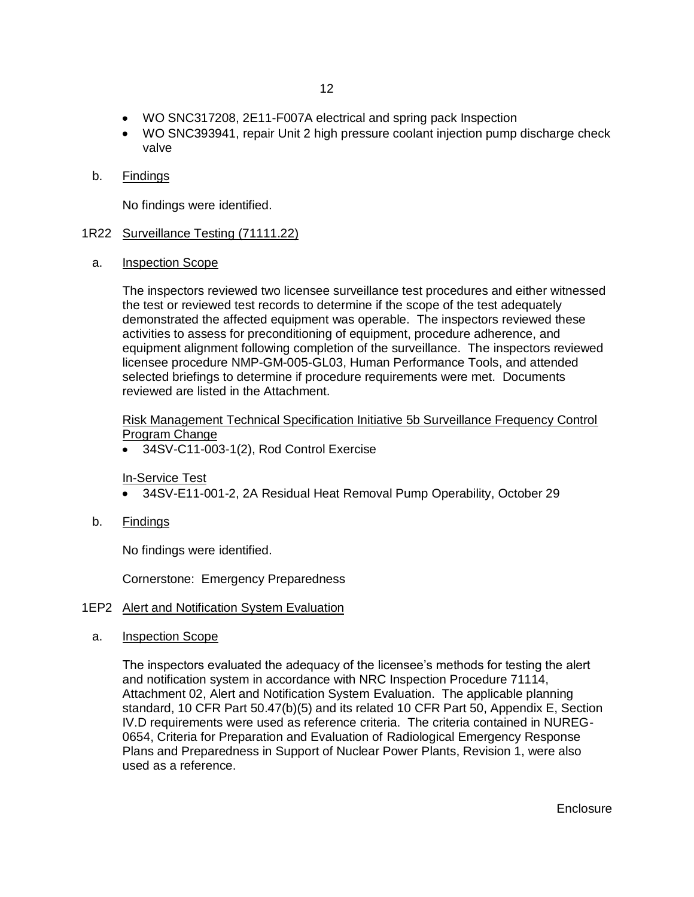- WO SNC317208, 2E11-F007A electrical and spring pack Inspection
- WO SNC393941, repair Unit 2 high pressure coolant injection pump discharge check valve
- b. Findings

No findings were identified.

#### 1R22 Surveillance Testing (71111.22)

a. Inspection Scope

The inspectors reviewed two licensee surveillance test procedures and either witnessed the test or reviewed test records to determine if the scope of the test adequately demonstrated the affected equipment was operable. The inspectors reviewed these activities to assess for preconditioning of equipment, procedure adherence, and equipment alignment following completion of the surveillance. The inspectors reviewed licensee procedure NMP-GM-005-GL03, Human Performance Tools, and attended selected briefings to determine if procedure requirements were met. Documents reviewed are listed in the Attachment.

Risk Management Technical Specification Initiative 5b Surveillance Frequency Control Program Change

34SV-C11-003-1(2), Rod Control Exercise

## In-Service Test

- 34SV-E11-001-2, 2A Residual Heat Removal Pump Operability, October 29
- b. Findings

No findings were identified.

Cornerstone: Emergency Preparedness

#### 1EP2 Alert and Notification System Evaluation

a. Inspection Scope

The inspectors evaluated the adequacy of the licensee's methods for testing the alert and notification system in accordance with NRC Inspection Procedure 71114, Attachment 02, Alert and Notification System Evaluation. The applicable planning standard, 10 CFR Part 50.47(b)(5) and its related 10 CFR Part 50, Appendix E, Section IV.D requirements were used as reference criteria. The criteria contained in NUREG-0654, Criteria for Preparation and Evaluation of Radiological Emergency Response Plans and Preparedness in Support of Nuclear Power Plants, Revision 1, were also used as a reference.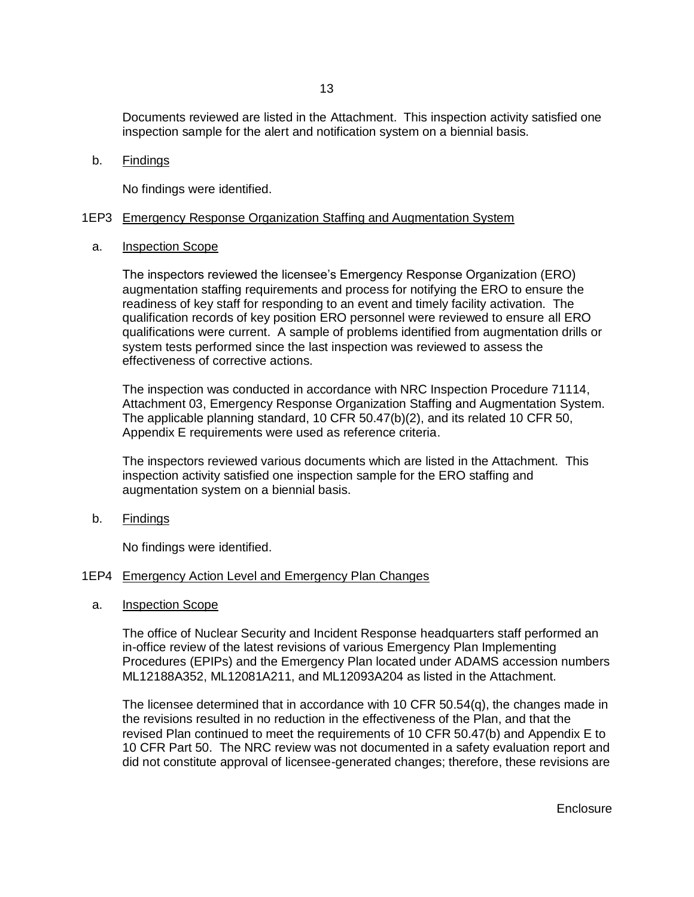Documents reviewed are listed in the Attachment. This inspection activity satisfied one inspection sample for the alert and notification system on a biennial basis.

b. Findings

No findings were identified.

#### 1EP3 Emergency Response Organization Staffing and Augmentation System

#### a. Inspection Scope

The inspectors reviewed the licensee's Emergency Response Organization (ERO) augmentation staffing requirements and process for notifying the ERO to ensure the readiness of key staff for responding to an event and timely facility activation. The qualification records of key position ERO personnel were reviewed to ensure all ERO qualifications were current. A sample of problems identified from augmentation drills or system tests performed since the last inspection was reviewed to assess the effectiveness of corrective actions.

The inspection was conducted in accordance with NRC Inspection Procedure 71114, Attachment 03, Emergency Response Organization Staffing and Augmentation System. The applicable planning standard, 10 CFR 50.47(b)(2), and its related 10 CFR 50, Appendix E requirements were used as reference criteria.

The inspectors reviewed various documents which are listed in the Attachment. This inspection activity satisfied one inspection sample for the ERO staffing and augmentation system on a biennial basis.

b. Findings

No findings were identified.

#### 1EP4 Emergency Action Level and Emergency Plan Changes

a. Inspection Scope

The office of Nuclear Security and Incident Response headquarters staff performed an in-office review of the latest revisions of various Emergency Plan Implementing Procedures (EPIPs) and the Emergency Plan located under ADAMS accession numbers ML12188A352, ML12081A211, and ML12093A204 as listed in the Attachment.

The licensee determined that in accordance with 10 CFR 50.54(q), the changes made in the revisions resulted in no reduction in the effectiveness of the Plan, and that the revised Plan continued to meet the requirements of 10 CFR 50.47(b) and Appendix E to 10 CFR Part 50. The NRC review was not documented in a safety evaluation report and did not constitute approval of licensee-generated changes; therefore, these revisions are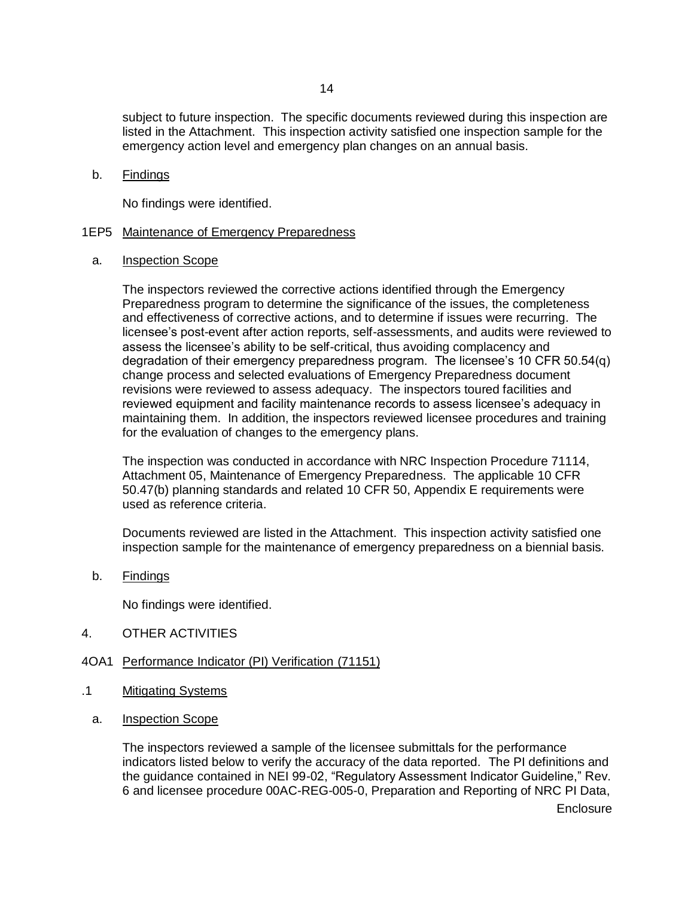subject to future inspection. The specific documents reviewed during this inspection are listed in the Attachment. This inspection activity satisfied one inspection sample for the emergency action level and emergency plan changes on an annual basis.

#### b. Findings

No findings were identified.

## 1EP5 Maintenance of Emergency Preparedness

a. Inspection Scope

The inspectors reviewed the corrective actions identified through the Emergency Preparedness program to determine the significance of the issues, the completeness and effectiveness of corrective actions, and to determine if issues were recurring. The licensee's post-event after action reports, self-assessments, and audits were reviewed to assess the licensee's ability to be self-critical, thus avoiding complacency and degradation of their emergency preparedness program. The licensee's 10 CFR 50.54(q) change process and selected evaluations of Emergency Preparedness document revisions were reviewed to assess adequacy. The inspectors toured facilities and reviewed equipment and facility maintenance records to assess licensee's adequacy in maintaining them. In addition, the inspectors reviewed licensee procedures and training for the evaluation of changes to the emergency plans.

The inspection was conducted in accordance with NRC Inspection Procedure 71114, Attachment 05, Maintenance of Emergency Preparedness. The applicable 10 CFR 50.47(b) planning standards and related 10 CFR 50, Appendix E requirements were used as reference criteria.

Documents reviewed are listed in the Attachment. This inspection activity satisfied one inspection sample for the maintenance of emergency preparedness on a biennial basis.

b. Findings

No findings were identified.

- 4. OTHER ACTIVITIES
- 4OA1 Performance Indicator (PI) Verification (71151)
- .1 Mitigating Systems
	- a. Inspection Scope

The inspectors reviewed a sample of the licensee submittals for the performance indicators listed below to verify the accuracy of the data reported. The PI definitions and the guidance contained in NEI 99-02, "Regulatory Assessment Indicator Guideline," Rev. 6 and licensee procedure 00AC-REG-005-0, Preparation and Reporting of NRC PI Data,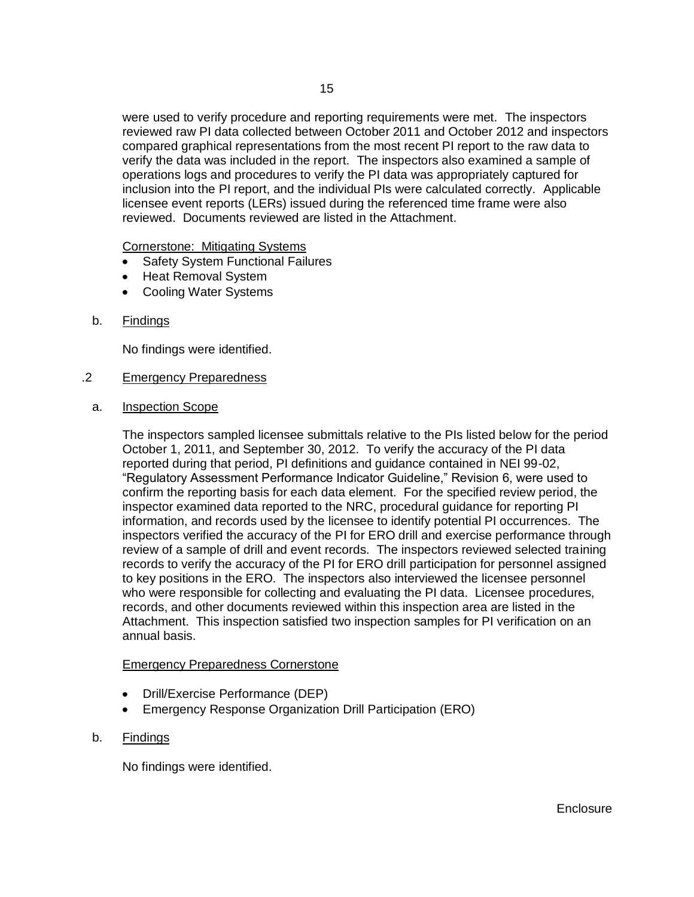were used to verify procedure and reporting requirements were met. The inspectors reviewed raw PI data collected between October 2011 and October 2012 and inspectors compared graphical representations from the most recent PI report to the raw data to verify the data was included in the report. The inspectors also examined a sample of operations logs and procedures to verify the PI data was appropriately captured for inclusion into the PI report, and the individual PIs were calculated correctly. Applicable licensee event reports (LERs) issued during the referenced time frame were also reviewed. Documents reviewed are listed in the Attachment.

Cornerstone: Mitigating Systems

- Safety System Functional Failures
- Heat Removal System
- Cooling Water Systems
- b. Findings

No findings were identified.

#### .2 Emergency Preparedness

a. Inspection Scope

The inspectors sampled licensee submittals relative to the PIs listed below for the period October 1, 2011, and September 30, 2012. To verify the accuracy of the PI data reported during that period, PI definitions and guidance contained in NEI 99-02, "Regulatory Assessment Performance Indicator Guideline," Revision 6, were used to confirm the reporting basis for each data element. For the specified review period, the inspector examined data reported to the NRC, procedural guidance for reporting PI information, and records used by the licensee to identify potential PI occurrences. The inspectors verified the accuracy of the PI for ERO drill and exercise performance through review of a sample of drill and event records. The inspectors reviewed selected training records to verify the accuracy of the PI for ERO drill participation for personnel assigned to key positions in the ERO. The inspectors also interviewed the licensee personnel who were responsible for collecting and evaluating the PI data. Licensee procedures, records, and other documents reviewed within this inspection area are listed in the Attachment. This inspection satisfied two inspection samples for PI verification on an annual basis.

#### Emergency Preparedness Cornerstone

- Drill/Exercise Performance (DEP)
- Emergency Response Organization Drill Participation (ERO)
- b. Findings

No findings were identified.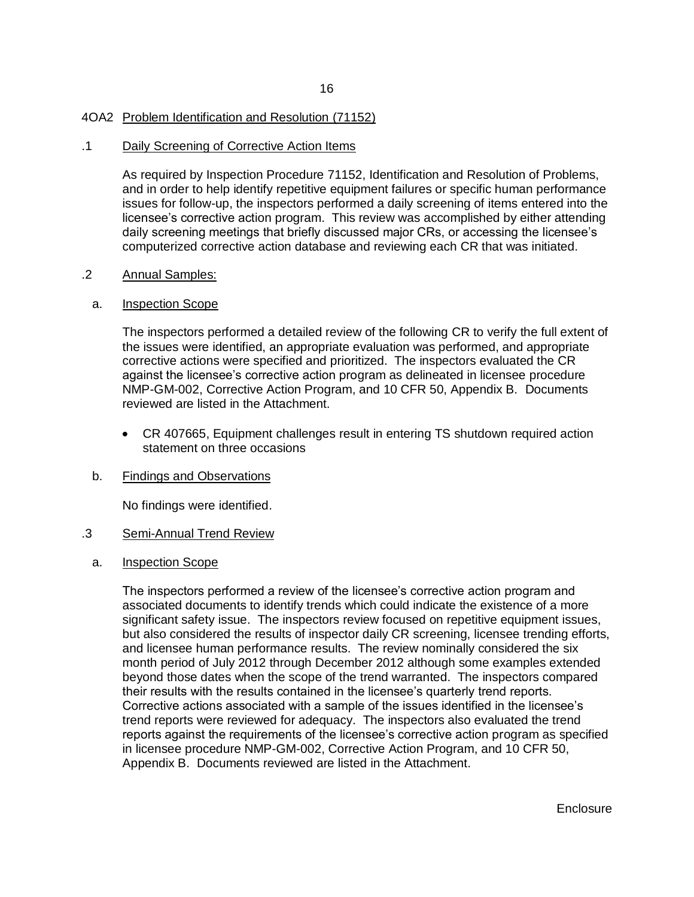### 4OA2 Problem Identification and Resolution (71152)

#### .1 Daily Screening of Corrective Action Items

As required by Inspection Procedure 71152, Identification and Resolution of Problems, and in order to help identify repetitive equipment failures or specific human performance issues for follow-up, the inspectors performed a daily screening of items entered into the licensee's corrective action program. This review was accomplished by either attending daily screening meetings that briefly discussed major CRs, or accessing the licensee's computerized corrective action database and reviewing each CR that was initiated.

#### .2 Annual Samples:

#### a. Inspection Scope

The inspectors performed a detailed review of the following CR to verify the full extent of the issues were identified, an appropriate evaluation was performed, and appropriate corrective actions were specified and prioritized. The inspectors evaluated the CR against the licensee's corrective action program as delineated in licensee procedure NMP-GM-002, Corrective Action Program, and 10 CFR 50, Appendix B. Documents reviewed are listed in the Attachment.

CR 407665, Equipment challenges result in entering TS shutdown required action statement on three occasions

## b. Findings and Observations

No findings were identified.

#### .3 Semi-Annual Trend Review

#### a. Inspection Scope

The inspectors performed a review of the licensee's corrective action program and associated documents to identify trends which could indicate the existence of a more significant safety issue. The inspectors review focused on repetitive equipment issues, but also considered the results of inspector daily CR screening, licensee trending efforts, and licensee human performance results. The review nominally considered the six month period of July 2012 through December 2012 although some examples extended beyond those dates when the scope of the trend warranted. The inspectors compared their results with the results contained in the licensee's quarterly trend reports. Corrective actions associated with a sample of the issues identified in the licensee's trend reports were reviewed for adequacy. The inspectors also evaluated the trend reports against the requirements of the licensee's corrective action program as specified in licensee procedure NMP-GM-002, Corrective Action Program, and 10 CFR 50, Appendix B. Documents reviewed are listed in the Attachment.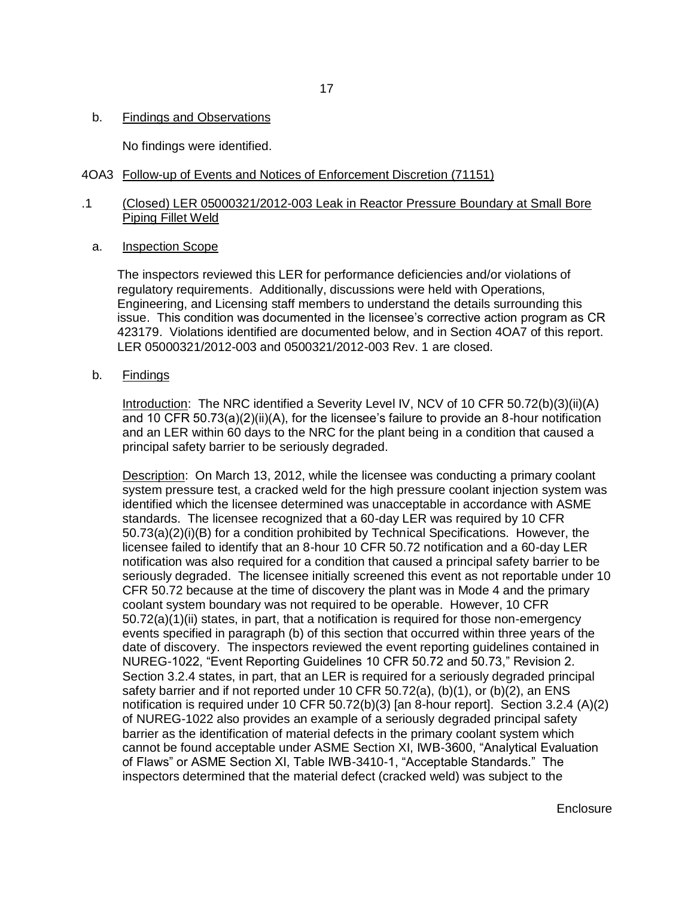No findings were identified.

## 4OA3 Follow-up of Events and Notices of Enforcement Discretion (71151)

## .1 (Closed) LER 05000321/2012-003 Leak in Reactor Pressure Boundary at Small Bore Piping Fillet Weld

a. Inspection Scope

The inspectors reviewed this LER for performance deficiencies and/or violations of regulatory requirements. Additionally, discussions were held with Operations, Engineering, and Licensing staff members to understand the details surrounding this issue. This condition was documented in the licensee's corrective action program as CR 423179. Violations identified are documented below, and in Section 4OA7 of this report. LER 05000321/2012-003 and 0500321/2012-003 Rev. 1 are closed.

b. Findings

Introduction: The NRC identified a Severity Level IV, NCV of 10 CFR 50.72(b)(3)(ii)(A) and 10 CFR 50.73(a)(2)(ii)(A), for the licensee's failure to provide an 8-hour notification and an LER within 60 days to the NRC for the plant being in a condition that caused a principal safety barrier to be seriously degraded.

Description: On March 13, 2012, while the licensee was conducting a primary coolant system pressure test, a cracked weld for the high pressure coolant injection system was identified which the licensee determined was unacceptable in accordance with ASME standards. The licensee recognized that a 60-day LER was required by 10 CFR 50.73(a)(2)(i)(B) for a condition prohibited by Technical Specifications. However, the licensee failed to identify that an 8-hour 10 CFR 50.72 notification and a 60-day LER notification was also required for a condition that caused a principal safety barrier to be seriously degraded. The licensee initially screened this event as not reportable under 10 CFR 50.72 because at the time of discovery the plant was in Mode 4 and the primary coolant system boundary was not required to be operable. However, 10 CFR 50.72(a)(1)(ii) states, in part, that a notification is required for those non-emergency events specified in paragraph (b) of this section that occurred within three years of the date of discovery. The inspectors reviewed the event reporting guidelines contained in NUREG-1022, "Event Reporting Guidelines 10 CFR 50.72 and 50.73," Revision 2. Section 3.2.4 states, in part, that an LER is required for a seriously degraded principal safety barrier and if not reported under 10 CFR 50.72(a), (b)(1), or (b)(2), an ENS notification is required under 10 CFR 50.72(b)(3) [an 8-hour report]. Section 3.2.4 (A)(2) of NUREG-1022 also provides an example of a seriously degraded principal safety barrier as the identification of material defects in the primary coolant system which cannot be found acceptable under ASME Section XI, IWB-3600, "Analytical Evaluation of Flaws" or ASME Section XI, Table IWB-3410-1, "Acceptable Standards." The inspectors determined that the material defect (cracked weld) was subject to the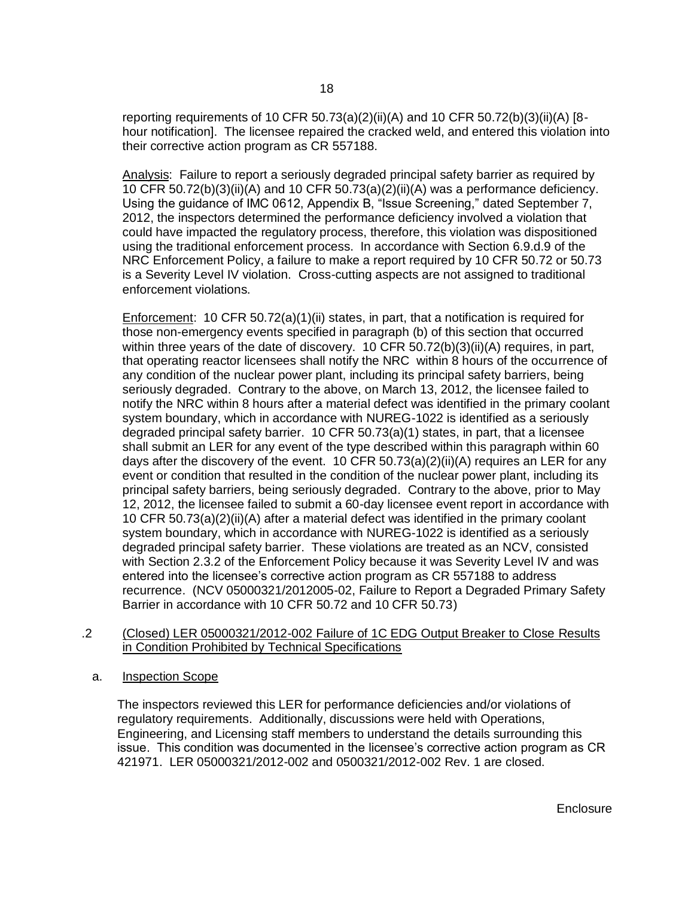reporting requirements of 10 CFR 50.73(a)(2)(ii)(A) and 10 CFR 50.72(b)(3)(ii)(A) [8hour notification]. The licensee repaired the cracked weld, and entered this violation into their corrective action program as CR 557188.

Analysis: Failure to report a seriously degraded principal safety barrier as required by 10 CFR 50.72(b)(3)(ii)(A) and 10 CFR 50.73(a)(2)(ii)(A) was a performance deficiency. Using the guidance of IMC 0612, Appendix B, "Issue Screening," dated September 7, 2012, the inspectors determined the performance deficiency involved a violation that could have impacted the regulatory process, therefore, this violation was dispositioned using the traditional enforcement process. In accordance with Section 6.9.d.9 of the NRC Enforcement Policy, a failure to make a report required by 10 CFR 50.72 or 50.73 is a Severity Level IV violation. Cross-cutting aspects are not assigned to traditional enforcement violations.

Enforcement: 10 CFR 50.72(a)(1)(ii) states, in part, that a notification is required for those non-emergency events specified in paragraph (b) of this section that occurred within three years of the date of discovery. 10 CFR 50.72(b)(3)(ii)(A) requires, in part, that operating reactor licensees shall notify the NRC within 8 hours of the occurrence of any condition of the nuclear power plant, including its principal safety barriers, being seriously degraded. Contrary to the above, on March 13, 2012, the licensee failed to notify the NRC within 8 hours after a material defect was identified in the primary coolant system boundary, which in accordance with NUREG-1022 is identified as a seriously degraded principal safety barrier. 10 CFR 50.73(a)(1) states, in part, that a licensee shall submit an LER for any event of the type described within this paragraph within 60 days after the discovery of the event. 10 CFR  $50.73(a)(2)(ii)(A)$  requires an LER for any event or condition that resulted in the condition of the nuclear power plant, including its principal safety barriers, being seriously degraded. Contrary to the above, prior to May 12, 2012, the licensee failed to submit a 60-day licensee event report in accordance with 10 CFR 50.73(a)(2)(ii)(A) after a material defect was identified in the primary coolant system boundary, which in accordance with NUREG-1022 is identified as a seriously degraded principal safety barrier. These violations are treated as an NCV, consisted with Section 2.3.2 of the Enforcement Policy because it was Severity Level IV and was entered into the licensee's corrective action program as CR 557188 to address recurrence. (NCV 05000321/2012005-02, Failure to Report a Degraded Primary Safety Barrier in accordance with 10 CFR 50.72 and 10 CFR 50.73)

- .2 (Closed) LER 05000321/2012-002 Failure of 1C EDG Output Breaker to Close Results in Condition Prohibited by Technical Specifications
	- a. Inspection Scope

The inspectors reviewed this LER for performance deficiencies and/or violations of regulatory requirements. Additionally, discussions were held with Operations, Engineering, and Licensing staff members to understand the details surrounding this issue. This condition was documented in the licensee's corrective action program as CR 421971. LER 05000321/2012-002 and 0500321/2012-002 Rev. 1 are closed.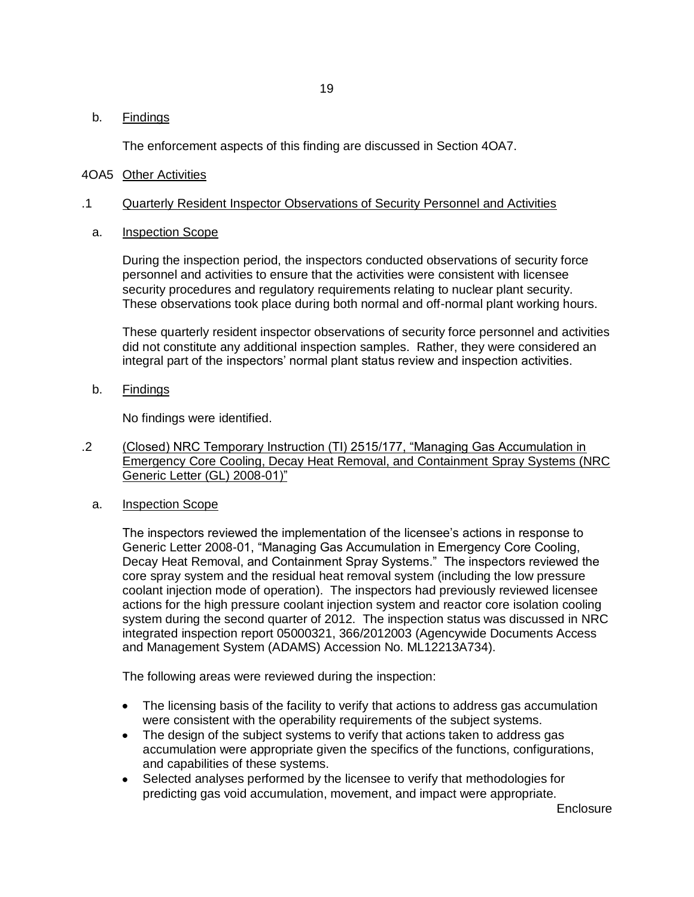## b. Findings

The enforcement aspects of this finding are discussed in Section 4OA7.

## 4OA5 Other Activities

## .1 Quarterly Resident Inspector Observations of Security Personnel and Activities

a. Inspection Scope

During the inspection period, the inspectors conducted observations of security force personnel and activities to ensure that the activities were consistent with licensee security procedures and regulatory requirements relating to nuclear plant security. These observations took place during both normal and off-normal plant working hours.

These quarterly resident inspector observations of security force personnel and activities did not constitute any additional inspection samples. Rather, they were considered an integral part of the inspectors' normal plant status review and inspection activities.

b. Findings

No findings were identified.

- .2 (Closed) NRC Temporary Instruction (TI) 2515/177, "Managing Gas Accumulation in Emergency Core Cooling, Decay Heat Removal, and Containment Spray Systems (NRC Generic Letter (GL) 2008-01)"
	- a. Inspection Scope

The inspectors reviewed the implementation of the licensee's actions in response to Generic Letter 2008-01, "Managing Gas Accumulation in Emergency Core Cooling, Decay Heat Removal, and Containment Spray Systems." The inspectors reviewed the core spray system and the residual heat removal system (including the low pressure coolant injection mode of operation). The inspectors had previously reviewed licensee actions for the high pressure coolant injection system and reactor core isolation cooling system during the second quarter of 2012. The inspection status was discussed in NRC integrated inspection report 05000321, 366/2012003 (Agencywide Documents Access and Management System (ADAMS) Accession No. ML12213A734).

The following areas were reviewed during the inspection:

- The licensing basis of the facility to verify that actions to address gas accumulation were consistent with the operability requirements of the subject systems.
- The design of the subject systems to verify that actions taken to address gas accumulation were appropriate given the specifics of the functions, configurations, and capabilities of these systems.
- Selected analyses performed by the licensee to verify that methodologies for  $\bullet$ predicting gas void accumulation, movement, and impact were appropriate.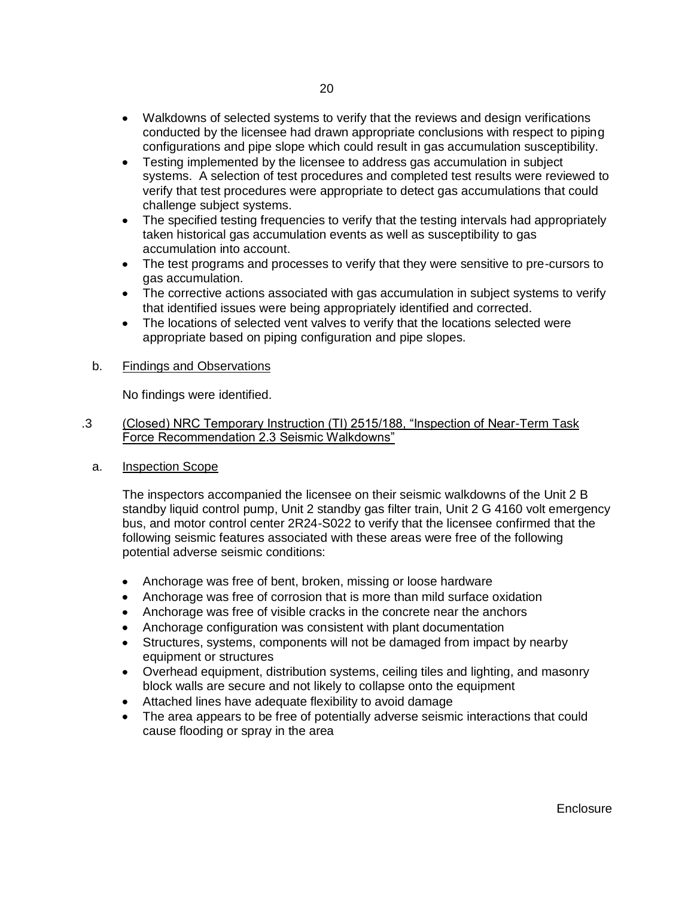- Walkdowns of selected systems to verify that the reviews and design verifications conducted by the licensee had drawn appropriate conclusions with respect to piping configurations and pipe slope which could result in gas accumulation susceptibility.
- Testing implemented by the licensee to address gas accumulation in subject systems. A selection of test procedures and completed test results were reviewed to verify that test procedures were appropriate to detect gas accumulations that could challenge subject systems.
- The specified testing frequencies to verify that the testing intervals had appropriately taken historical gas accumulation events as well as susceptibility to gas accumulation into account.
- The test programs and processes to verify that they were sensitive to pre-cursors to gas accumulation.
- The corrective actions associated with gas accumulation in subject systems to verify that identified issues were being appropriately identified and corrected.
- The locations of selected vent valves to verify that the locations selected were appropriate based on piping configuration and pipe slopes.
- b. Findings and Observations

No findings were identified.

- .3 (Closed) NRC Temporary Instruction (TI) 2515/188, "Inspection of Near-Term Task Force Recommendation 2.3 Seismic Walkdowns"
	- a. Inspection Scope

The inspectors accompanied the licensee on their seismic walkdowns of the Unit 2 B standby liquid control pump, Unit 2 standby gas filter train, Unit 2 G 4160 volt emergency bus, and motor control center 2R24-S022 to verify that the licensee confirmed that the following seismic features associated with these areas were free of the following potential adverse seismic conditions:

- Anchorage was free of bent, broken, missing or loose hardware
- Anchorage was free of corrosion that is more than mild surface oxidation
- Anchorage was free of visible cracks in the concrete near the anchors
- Anchorage configuration was consistent with plant documentation
- Structures, systems, components will not be damaged from impact by nearby equipment or structures
- Overhead equipment, distribution systems, ceiling tiles and lighting, and masonry block walls are secure and not likely to collapse onto the equipment
- Attached lines have adequate flexibility to avoid damage
- The area appears to be free of potentially adverse seismic interactions that could cause flooding or spray in the area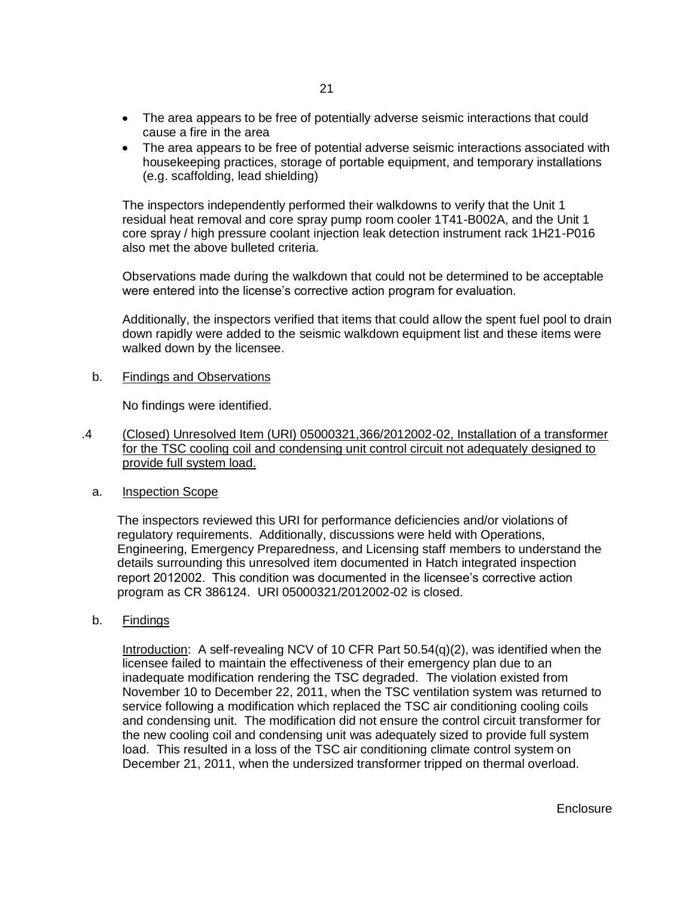- The area appears to be free of potentially adverse seismic interactions that could cause a fire in the area
- The area appears to be free of potential adverse seismic interactions associated with housekeeping practices, storage of portable equipment, and temporary installations (e.g. scaffolding, lead shielding)

The inspectors independently performed their walkdowns to verify that the Unit 1 residual heat removal and core spray pump room cooler 1T41-B002A, and the Unit 1 core spray / high pressure coolant injection leak detection instrument rack 1H21-P016 also met the above bulleted criteria.

Observations made during the walkdown that could not be determined to be acceptable were entered into the license's corrective action program for evaluation.

Additionally, the inspectors verified that items that could allow the spent fuel pool to drain down rapidly were added to the seismic walkdown equipment list and these items were walked down by the licensee.

b. Findings and Observations

No findings were identified.

- .4 (Closed) Unresolved Item (URI) 05000321,366/2012002-02, Installation of a transformer for the TSC cooling coil and condensing unit control circuit not adequately designed to provide full system load.
	- a. Inspection Scope

The inspectors reviewed this URI for performance deficiencies and/or violations of regulatory requirements. Additionally, discussions were held with Operations, Engineering, Emergency Preparedness, and Licensing staff members to understand the details surrounding this unresolved item documented in Hatch integrated inspection report 2012002. This condition was documented in the licensee's corrective action program as CR 386124. URI 05000321/2012002-02 is closed.

b. Findings

Introduction: A self-revealing NCV of 10 CFR Part 50.54(q)(2), was identified when the licensee failed to maintain the effectiveness of their emergency plan due to an inadequate modification rendering the TSC degraded. The violation existed from November 10 to December 22, 2011, when the TSC ventilation system was returned to service following a modification which replaced the TSC air conditioning cooling coils and condensing unit. The modification did not ensure the control circuit transformer for the new cooling coil and condensing unit was adequately sized to provide full system load. This resulted in a loss of the TSC air conditioning climate control system on December 21, 2011, when the undersized transformer tripped on thermal overload.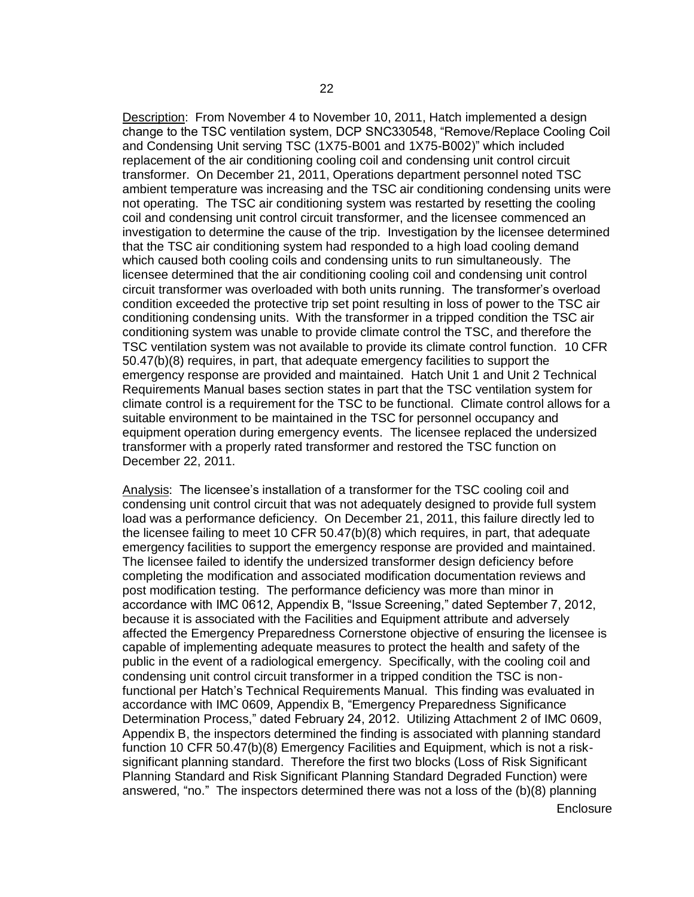Description: From November 4 to November 10, 2011, Hatch implemented a design change to the TSC ventilation system, DCP SNC330548, "Remove/Replace Cooling Coil and Condensing Unit serving TSC (1X75-B001 and 1X75-B002)" which included replacement of the air conditioning cooling coil and condensing unit control circuit transformer. On December 21, 2011, Operations department personnel noted TSC ambient temperature was increasing and the TSC air conditioning condensing units were not operating. The TSC air conditioning system was restarted by resetting the cooling coil and condensing unit control circuit transformer, and the licensee commenced an investigation to determine the cause of the trip. Investigation by the licensee determined that the TSC air conditioning system had responded to a high load cooling demand which caused both cooling coils and condensing units to run simultaneously. The licensee determined that the air conditioning cooling coil and condensing unit control circuit transformer was overloaded with both units running. The transformer's overload condition exceeded the protective trip set point resulting in loss of power to the TSC air conditioning condensing units. With the transformer in a tripped condition the TSC air conditioning system was unable to provide climate control the TSC, and therefore the TSC ventilation system was not available to provide its climate control function. 10 CFR 50.47(b)(8) requires, in part, that adequate emergency facilities to support the emergency response are provided and maintained. Hatch Unit 1 and Unit 2 Technical Requirements Manual bases section states in part that the TSC ventilation system for climate control is a requirement for the TSC to be functional. Climate control allows for a suitable environment to be maintained in the TSC for personnel occupancy and equipment operation during emergency events. The licensee replaced the undersized transformer with a properly rated transformer and restored the TSC function on December 22, 2011.

Analysis: The licensee's installation of a transformer for the TSC cooling coil and condensing unit control circuit that was not adequately designed to provide full system load was a performance deficiency. On December 21, 2011, this failure directly led to the licensee failing to meet 10 CFR 50.47(b)(8) which requires, in part, that adequate emergency facilities to support the emergency response are provided and maintained. The licensee failed to identify the undersized transformer design deficiency before completing the modification and associated modification documentation reviews and post modification testing. The performance deficiency was more than minor in accordance with IMC 0612, Appendix B, "Issue Screening," dated September 7, 2012, because it is associated with the Facilities and Equipment attribute and adversely affected the Emergency Preparedness Cornerstone objective of ensuring the licensee is capable of implementing adequate measures to protect the health and safety of the public in the event of a radiological emergency. Specifically, with the cooling coil and condensing unit control circuit transformer in a tripped condition the TSC is nonfunctional per Hatch's Technical Requirements Manual. This finding was evaluated in accordance with IMC 0609, Appendix B, "Emergency Preparedness Significance Determination Process," dated February 24, 2012. Utilizing Attachment 2 of IMC 0609, Appendix B, the inspectors determined the finding is associated with planning standard function 10 CFR 50.47(b)(8) Emergency Facilities and Equipment, which is not a risksignificant planning standard. Therefore the first two blocks (Loss of Risk Significant Planning Standard and Risk Significant Planning Standard Degraded Function) were answered, "no." The inspectors determined there was not a loss of the (b)(8) planning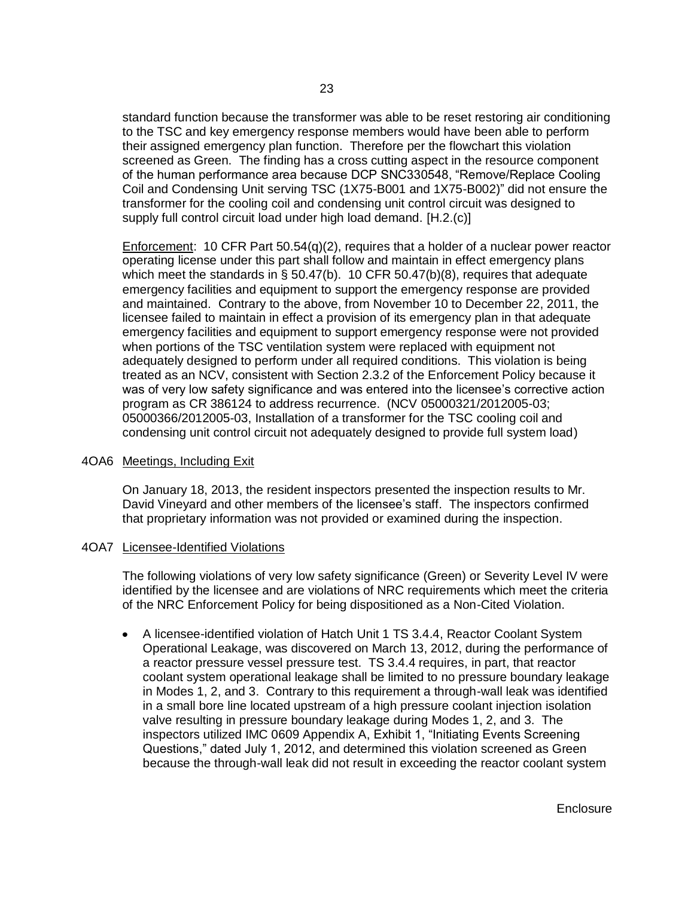standard function because the transformer was able to be reset restoring air conditioning to the TSC and key emergency response members would have been able to perform their assigned emergency plan function. Therefore per the flowchart this violation screened as Green. The finding has a cross cutting aspect in the resource component of the human performance area because DCP SNC330548, "Remove/Replace Cooling Coil and Condensing Unit serving TSC (1X75-B001 and 1X75-B002)" did not ensure the transformer for the cooling coil and condensing unit control circuit was designed to supply full control circuit load under high load demand. [H.2.(c)]

Enforcement: 10 CFR Part 50.54(q)(2), requires that a holder of a nuclear power reactor operating license under this part shall follow and maintain in effect emergency plans which meet the standards in § 50.47(b). 10 CFR 50.47(b)(8), requires that adequate emergency facilities and equipment to support the emergency response are provided and maintained. Contrary to the above, from November 10 to December 22, 2011, the licensee failed to maintain in effect a provision of its emergency plan in that adequate emergency facilities and equipment to support emergency response were not provided when portions of the TSC ventilation system were replaced with equipment not adequately designed to perform under all required conditions. This violation is being treated as an NCV, consistent with Section 2.3.2 of the Enforcement Policy because it was of very low safety significance and was entered into the licensee's corrective action program as CR 386124 to address recurrence. (NCV 05000321/2012005-03; 05000366/2012005-03, Installation of a transformer for the TSC cooling coil and condensing unit control circuit not adequately designed to provide full system load)

## 4OA6 Meetings, Including Exit

On January 18, 2013, the resident inspectors presented the inspection results to Mr. David Vineyard and other members of the licensee's staff. The inspectors confirmed that proprietary information was not provided or examined during the inspection.

#### 4OA7 Licensee-Identified Violations

The following violations of very low safety significance (Green) or Severity Level IV were identified by the licensee and are violations of NRC requirements which meet the criteria of the NRC Enforcement Policy for being dispositioned as a Non-Cited Violation.

A licensee-identified violation of Hatch Unit 1 TS 3.4.4, Reactor Coolant System  $\bullet$ Operational Leakage, was discovered on March 13, 2012, during the performance of a reactor pressure vessel pressure test. TS 3.4.4 requires, in part, that reactor coolant system operational leakage shall be limited to no pressure boundary leakage in Modes 1, 2, and 3. Contrary to this requirement a through-wall leak was identified in a small bore line located upstream of a high pressure coolant injection isolation valve resulting in pressure boundary leakage during Modes 1, 2, and 3. The inspectors utilized IMC 0609 Appendix A, Exhibit 1, "Initiating Events Screening Questions," dated July 1, 2012, and determined this violation screened as Green because the through-wall leak did not result in exceeding the reactor coolant system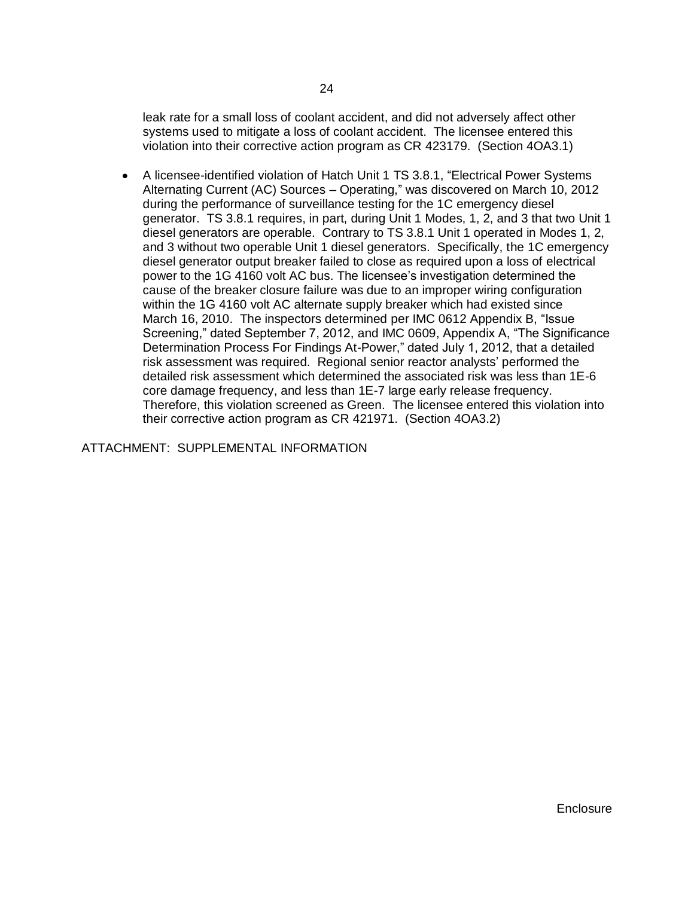leak rate for a small loss of coolant accident, and did not adversely affect other systems used to mitigate a loss of coolant accident. The licensee entered this violation into their corrective action program as CR 423179. (Section 4OA3.1)

A licensee-identified violation of Hatch Unit 1 TS 3.8.1, "Electrical Power Systems Alternating Current (AC) Sources – Operating," was discovered on March 10, 2012 during the performance of surveillance testing for the 1C emergency diesel generator. TS 3.8.1 requires, in part, during Unit 1 Modes, 1, 2, and 3 that two Unit 1 diesel generators are operable. Contrary to TS 3.8.1 Unit 1 operated in Modes 1, 2, and 3 without two operable Unit 1 diesel generators. Specifically, the 1C emergency diesel generator output breaker failed to close as required upon a loss of electrical power to the 1G 4160 volt AC bus. The licensee's investigation determined the cause of the breaker closure failure was due to an improper wiring configuration within the 1G 4160 volt AC alternate supply breaker which had existed since March 16, 2010. The inspectors determined per IMC 0612 Appendix B, "Issue Screening," dated September 7, 2012, and IMC 0609, Appendix A, "The Significance Determination Process For Findings At-Power," dated July 1, 2012, that a detailed risk assessment was required. Regional senior reactor analysts' performed the detailed risk assessment which determined the associated risk was less than 1E-6 core damage frequency, and less than 1E-7 large early release frequency. Therefore, this violation screened as Green. The licensee entered this violation into their corrective action program as CR 421971. (Section 4OA3.2)

ATTACHMENT: SUPPLEMENTAL INFORMATION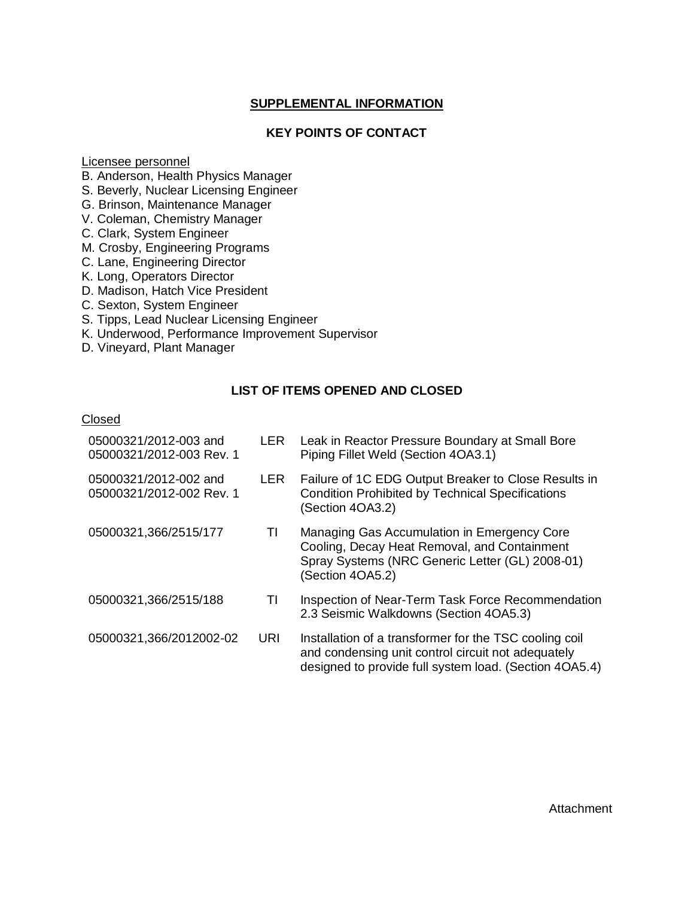## **SUPPLEMENTAL INFORMATION**

## **KEY POINTS OF CONTACT**

Licensee personnel

B. Anderson, Health Physics Manager

S. Beverly, Nuclear Licensing Engineer

G. Brinson, Maintenance Manager

V. Coleman, Chemistry Manager

C. Clark, System Engineer

M. Crosby, Engineering Programs

C. Lane, Engineering Director

K. Long, Operators Director

D. Madison, Hatch Vice President

C. Sexton, System Engineer

S. Tipps, Lead Nuclear Licensing Engineer

K. Underwood, Performance Improvement Supervisor

D. Vineyard, Plant Manager

## **LIST OF ITEMS OPENED AND CLOSED**

#### **Closed**

| 05000321/2012-003 and<br>05000321/2012-003 Rev. 1 | <b>LER</b> | Leak in Reactor Pressure Boundary at Small Bore<br>Piping Fillet Weld (Section 4OA3.1)                                                                                 |
|---------------------------------------------------|------------|------------------------------------------------------------------------------------------------------------------------------------------------------------------------|
| 05000321/2012-002 and<br>05000321/2012-002 Rev. 1 | <b>LER</b> | Failure of 1C EDG Output Breaker to Close Results in<br><b>Condition Prohibited by Technical Specifications</b><br>(Section 4OA3.2)                                    |
| 05000321,366/2515/177                             | TI         | Managing Gas Accumulation in Emergency Core<br>Cooling, Decay Heat Removal, and Containment<br>Spray Systems (NRC Generic Letter (GL) 2008-01)<br>(Section 4OA5.2)     |
| 05000321,366/2515/188                             | TI         | Inspection of Near-Term Task Force Recommendation<br>2.3 Seismic Walkdowns (Section 4OA5.3)                                                                            |
| 05000321,366/2012002-02                           | URI        | Installation of a transformer for the TSC cooling coil<br>and condensing unit control circuit not adequately<br>designed to provide full system load. (Section 4OA5.4) |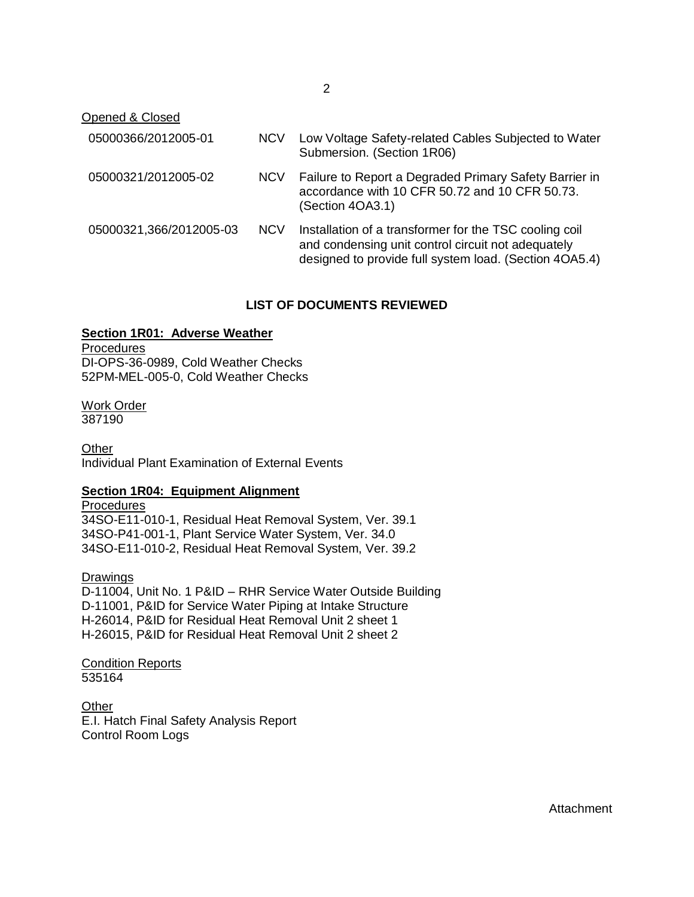Opened & Closed

| 05000366/2012005-01     | <b>NCV</b> | Low Voltage Safety-related Cables Subjected to Water<br>Submersion. (Section 1R06)                                                                                     |
|-------------------------|------------|------------------------------------------------------------------------------------------------------------------------------------------------------------------------|
| 05000321/2012005-02     | <b>NCV</b> | Failure to Report a Degraded Primary Safety Barrier in<br>accordance with 10 CFR 50.72 and 10 CFR 50.73.<br>(Section 4OA3.1)                                           |
| 05000321,366/2012005-03 | <b>NCV</b> | Installation of a transformer for the TSC cooling coil<br>and condensing unit control circuit not adequately<br>designed to provide full system load. (Section 4OA5.4) |

## **LIST OF DOCUMENTS REVIEWED**

## **Section 1R01: Adverse Weather**

**Procedures** DI-OPS-36-0989, Cold Weather Checks 52PM-MEL-005-0, Cold Weather Checks

Work Order 387190

**Other** Individual Plant Examination of External Events

### **Section 1R04: Equipment Alignment**

**Procedures** 34SO-E11-010-1, Residual Heat Removal System, Ver. 39.1 34SO-P41-001-1, Plant Service Water System, Ver. 34.0 34SO-E11-010-2, Residual Heat Removal System, Ver. 39.2

Drawings D-11004, Unit No. 1 P&ID – RHR Service Water Outside Building D-11001, P&ID for Service Water Piping at Intake Structure H-26014, P&ID for Residual Heat Removal Unit 2 sheet 1 H-26015, P&ID for Residual Heat Removal Unit 2 sheet 2

Condition Reports 535164

**Other** E.I. Hatch Final Safety Analysis Report Control Room Logs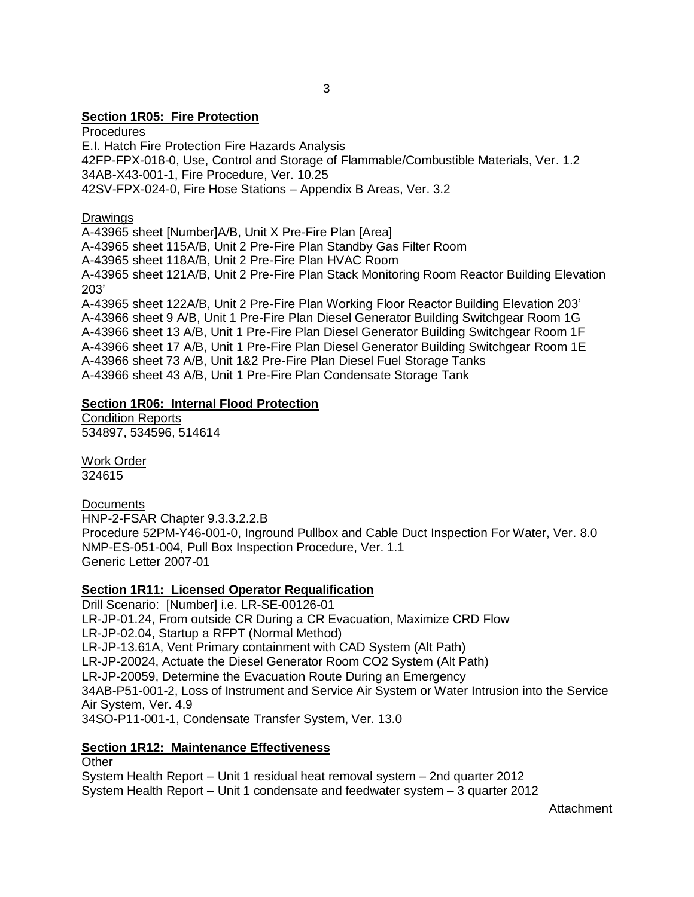## **Section 1R05: Fire Protection**

**Procedures** E.I. Hatch Fire Protection Fire Hazards Analysis 42FP-FPX-018-0, Use, Control and Storage of Flammable/Combustible Materials, Ver. 1.2 34AB-X43-001-1, Fire Procedure, Ver. 10.25 42SV-FPX-024-0, Fire Hose Stations – Appendix B Areas, Ver. 3.2

Drawings

A-43965 sheet [Number]A/B, Unit X Pre-Fire Plan [Area] A-43965 sheet 115A/B, Unit 2 Pre-Fire Plan Standby Gas Filter Room A-43965 sheet 118A/B, Unit 2 Pre-Fire Plan HVAC Room A-43965 sheet 121A/B, Unit 2 Pre-Fire Plan Stack Monitoring Room Reactor Building Elevation 203' A-43965 sheet 122A/B, Unit 2 Pre-Fire Plan Working Floor Reactor Building Elevation 203'

A-43966 sheet 9 A/B, Unit 1 Pre-Fire Plan Diesel Generator Building Switchgear Room 1G A-43966 sheet 13 A/B, Unit 1 Pre-Fire Plan Diesel Generator Building Switchgear Room 1F A-43966 sheet 17 A/B, Unit 1 Pre-Fire Plan Diesel Generator Building Switchgear Room 1E A-43966 sheet 73 A/B, Unit 1&2 Pre-Fire Plan Diesel Fuel Storage Tanks A-43966 sheet 43 A/B, Unit 1 Pre-Fire Plan Condensate Storage Tank

## **Section 1R06: Internal Flood Protection**

Condition Reports 534897, 534596, 514614

Work Order 324615

**Documents** HNP-2-FSAR Chapter 9.3.3.2.2.B Procedure 52PM-Y46-001-0, Inground Pullbox and Cable Duct Inspection For Water, Ver. 8.0 NMP-ES-051-004, Pull Box Inspection Procedure, Ver. 1.1 Generic Letter 2007-01

## **Section 1R11: Licensed Operator Requalification**

Drill Scenario: [Number] i.e. LR-SE-00126-01 LR-JP-01.24, From outside CR During a CR Evacuation, Maximize CRD Flow LR-JP-02.04, Startup a RFPT (Normal Method) LR-JP-13.61A, Vent Primary containment with CAD System (Alt Path) LR-JP-20024, Actuate the Diesel Generator Room CO2 System (Alt Path) LR-JP-20059, Determine the Evacuation Route During an Emergency 34AB-P51-001-2, Loss of Instrument and Service Air System or Water Intrusion into the Service Air System, Ver. 4.9 34SO-P11-001-1, Condensate Transfer System, Ver. 13.0

## **Section 1R12: Maintenance Effectiveness**

**Other** System Health Report – Unit 1 residual heat removal system – 2nd quarter 2012 System Health Report – Unit 1 condensate and feedwater system – 3 quarter 2012

Attachment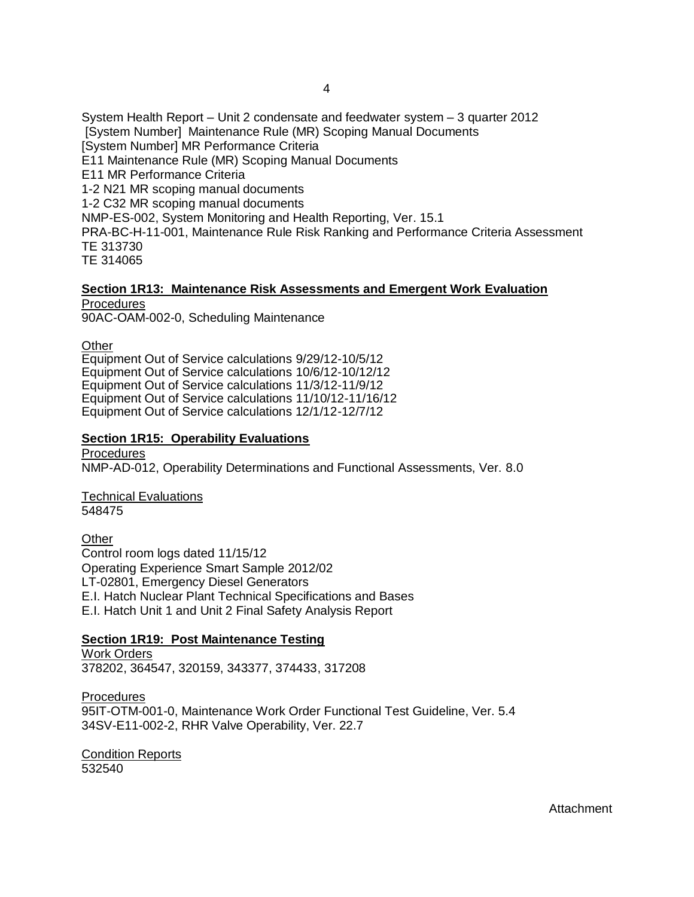System Health Report – Unit 2 condensate and feedwater system – 3 quarter 2012 [System Number] Maintenance Rule (MR) Scoping Manual Documents [System Number] MR Performance Criteria E11 Maintenance Rule (MR) Scoping Manual Documents E11 MR Performance Criteria 1-2 N21 MR scoping manual documents 1-2 C32 MR scoping manual documents NMP-ES-002, System Monitoring and Health Reporting, Ver. 15.1 PRA-BC-H-11-001, Maintenance Rule Risk Ranking and Performance Criteria Assessment TE 313730 TE 314065

#### **Section 1R13: Maintenance Risk Assessments and Emergent Work Evaluation Procedures**

90AC-OAM-002-0, Scheduling Maintenance

**Other** 

Equipment Out of Service calculations 9/29/12-10/5/12 Equipment Out of Service calculations 10/6/12-10/12/12 Equipment Out of Service calculations 11/3/12-11/9/12 Equipment Out of Service calculations 11/10/12-11/16/12 Equipment Out of Service calculations 12/1/12-12/7/12

## **Section 1R15: Operability Evaluations**

Procedures NMP-AD-012, Operability Determinations and Functional Assessments, Ver. 8.0

Technical Evaluations 548475

**Other** Control room logs dated 11/15/12 Operating Experience Smart Sample 2012/02 LT-02801, Emergency Diesel Generators E.I. Hatch Nuclear Plant Technical Specifications and Bases E.I. Hatch Unit 1 and Unit 2 Final Safety Analysis Report

## **Section 1R19: Post Maintenance Testing**

Work Orders 378202, 364547, 320159, 343377, 374433, 317208

Procedures 95IT-OTM-001-0, Maintenance Work Order Functional Test Guideline, Ver. 5.4 34SV-E11-002-2, RHR Valve Operability, Ver. 22.7

Condition Reports 532540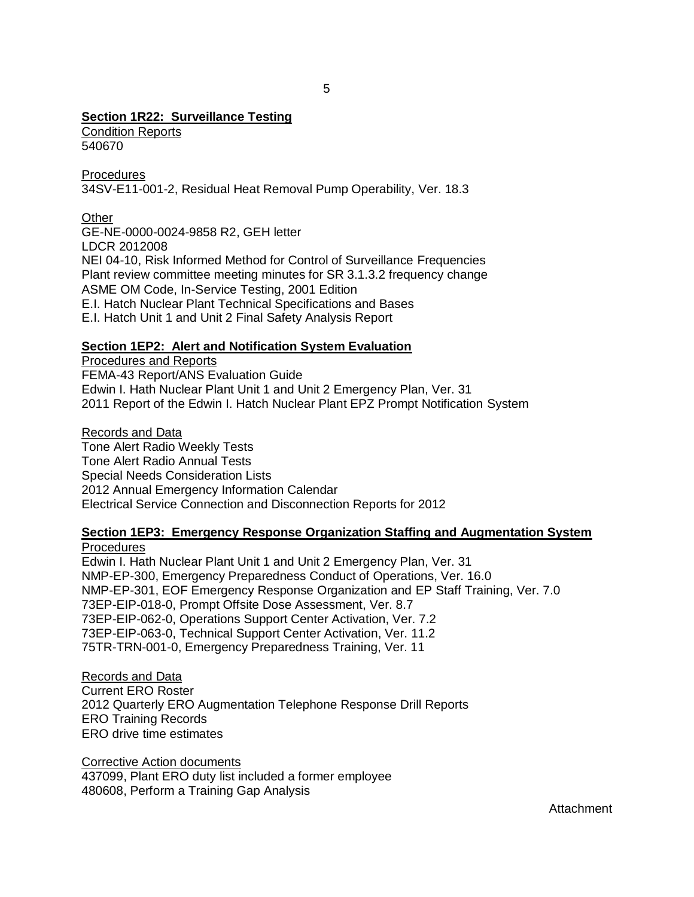## **Section 1R22: Surveillance Testing**

Condition Reports 540670

**Procedures** 34SV-E11-001-2, Residual Heat Removal Pump Operability, Ver. 18.3

## **Other**

GE-NE-0000-0024-9858 R2, GEH letter LDCR 2012008 NEI 04-10, Risk Informed Method for Control of Surveillance Frequencies Plant review committee meeting minutes for SR 3.1.3.2 frequency change ASME OM Code, In-Service Testing, 2001 Edition E.I. Hatch Nuclear Plant Technical Specifications and Bases E.I. Hatch Unit 1 and Unit 2 Final Safety Analysis Report

## **Section 1EP2: Alert and Notification System Evaluation**

Procedures and Reports FEMA-43 Report/ANS Evaluation Guide Edwin I. Hath Nuclear Plant Unit 1 and Unit 2 Emergency Plan, Ver. 31 2011 Report of the Edwin I. Hatch Nuclear Plant EPZ Prompt Notification System

Records and Data Tone Alert Radio Weekly Tests Tone Alert Radio Annual Tests Special Needs Consideration Lists 2012 Annual Emergency Information Calendar Electrical Service Connection and Disconnection Reports for 2012

# **Section 1EP3: Emergency Response Organization Staffing and Augmentation System**

**Procedures** Edwin I. Hath Nuclear Plant Unit 1 and Unit 2 Emergency Plan, Ver. 31 NMP-EP-300, Emergency Preparedness Conduct of Operations, Ver. 16.0 NMP-EP-301, EOF Emergency Response Organization and EP Staff Training, Ver. 7.0 73EP-EIP-018-0, Prompt Offsite Dose Assessment, Ver. 8.7 73EP-EIP-062-0, Operations Support Center Activation, Ver. 7.2 73EP-EIP-063-0, Technical Support Center Activation, Ver. 11.2 75TR-TRN-001-0, Emergency Preparedness Training, Ver. 11

Records and Data Current ERO Roster 2012 Quarterly ERO Augmentation Telephone Response Drill Reports ERO Training Records ERO drive time estimates

Corrective Action documents 437099, Plant ERO duty list included a former employee 480608, Perform a Training Gap Analysis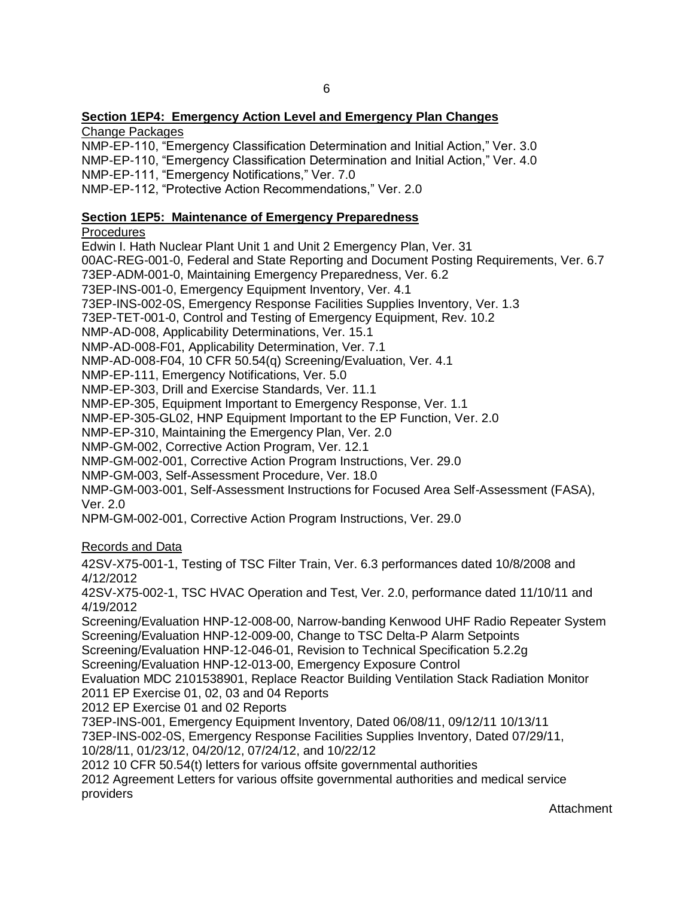## **Section 1EP4: Emergency Action Level and Emergency Plan Changes**

Change Packages

NMP-EP-110, "Emergency Classification Determination and Initial Action," Ver. 3.0 NMP-EP-110, "Emergency Classification Determination and Initial Action," Ver. 4.0 NMP-EP-111, "Emergency Notifications," Ver. 7.0

NMP-EP-112, "Protective Action Recommendations," Ver. 2.0

## **Section 1EP5: Maintenance of Emergency Preparedness**

**Procedures** 

Edwin I. Hath Nuclear Plant Unit 1 and Unit 2 Emergency Plan, Ver. 31 00AC-REG-001-0, Federal and State Reporting and Document Posting Requirements, Ver. 6.7 73EP-ADM-001-0, Maintaining Emergency Preparedness, Ver. 6.2 73EP-INS-001-0, Emergency Equipment Inventory, Ver. 4.1 73EP-INS-002-0S, Emergency Response Facilities Supplies Inventory, Ver. 1.3 73EP-TET-001-0, Control and Testing of Emergency Equipment, Rev. 10.2 NMP-AD-008, Applicability Determinations, Ver. 15.1 NMP-AD-008-F01, Applicability Determination, Ver. 7.1 NMP-AD-008-F04, 10 CFR 50.54(q) Screening/Evaluation, Ver. 4.1 NMP-EP-111, Emergency Notifications, Ver. 5.0 NMP-EP-303, Drill and Exercise Standards, Ver. 11.1 NMP-EP-305, Equipment Important to Emergency Response, Ver. 1.1 NMP-EP-305-GL02, HNP Equipment Important to the EP Function, Ver. 2.0 NMP-EP-310, Maintaining the Emergency Plan, Ver. 2.0 NMP-GM-002, Corrective Action Program, Ver. 12.1 NMP-GM-002-001, Corrective Action Program Instructions, Ver. 29.0 NMP-GM-003, Self-Assessment Procedure, Ver. 18.0 NMP-GM-003-001, Self-Assessment Instructions for Focused Area Self-Assessment (FASA), Ver. 2.0 NPM-GM-002-001, Corrective Action Program Instructions, Ver. 29.0 Records and Data 42SV-X75-001-1, Testing of TSC Filter Train, Ver. 6.3 performances dated 10/8/2008 and 4/12/2012 42SV-X75-002-1, TSC HVAC Operation and Test, Ver. 2.0, performance dated 11/10/11 and 4/19/2012 Screening/Evaluation HNP-12-008-00, Narrow-banding Kenwood UHF Radio Repeater System Screening/Evaluation HNP-12-009-00, Change to TSC Delta-P Alarm Setpoints Screening/Evaluation HNP-12-046-01, Revision to Technical Specification 5.2.2g Screening/Evaluation HNP-12-013-00, Emergency Exposure Control Evaluation MDC 2101538901, Replace Reactor Building Ventilation Stack Radiation Monitor 2011 EP Exercise 01, 02, 03 and 04 Reports 2012 EP Exercise 01 and 02 Reports 73EP-INS-001, Emergency Equipment Inventory, Dated 06/08/11, 09/12/11 10/13/11 73EP-INS-002-0S, Emergency Response Facilities Supplies Inventory, Dated 07/29/11, 10/28/11, 01/23/12, 04/20/12, 07/24/12, and 10/22/12 2012 10 CFR 50.54(t) letters for various offsite governmental authorities 2012 Agreement Letters for various offsite governmental authorities and medical service providers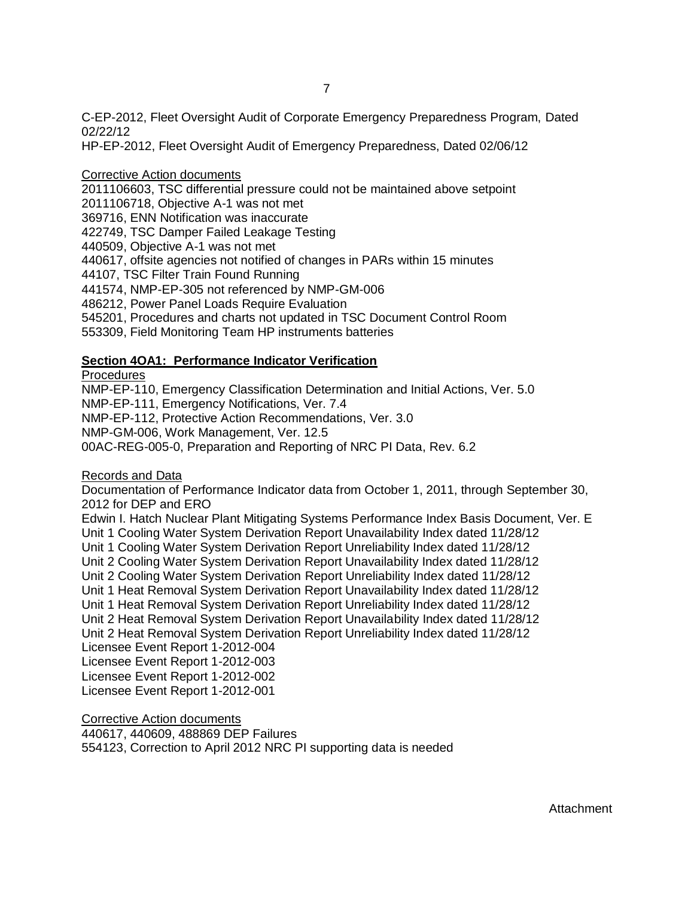C-EP-2012, Fleet Oversight Audit of Corporate Emergency Preparedness Program, Dated 02/22/12

HP-EP-2012, Fleet Oversight Audit of Emergency Preparedness, Dated 02/06/12

## Corrective Action documents

2011106603, TSC differential pressure could not be maintained above setpoint 2011106718, Objective A-1 was not met 369716, ENN Notification was inaccurate 422749, TSC Damper Failed Leakage Testing 440509, Objective A-1 was not met 440617, offsite agencies not notified of changes in PARs within 15 minutes 44107, TSC Filter Train Found Running 441574, NMP-EP-305 not referenced by NMP-GM-006 486212, Power Panel Loads Require Evaluation 545201, Procedures and charts not updated in TSC Document Control Room 553309, Field Monitoring Team HP instruments batteries

## **Section 4OA1: Performance Indicator Verification**

**Procedures** 

NMP-EP-110, Emergency Classification Determination and Initial Actions, Ver. 5.0 NMP-EP-111, Emergency Notifications, Ver. 7.4 NMP-EP-112, Protective Action Recommendations, Ver. 3.0 NMP-GM-006, Work Management, Ver. 12.5 00AC-REG-005-0, Preparation and Reporting of NRC PI Data, Rev. 6.2

Records and Data

Documentation of Performance Indicator data from October 1, 2011, through September 30, 2012 for DEP and ERO

Edwin I. Hatch Nuclear Plant Mitigating Systems Performance Index Basis Document, Ver. E Unit 1 Cooling Water System Derivation Report Unavailability Index dated 11/28/12 Unit 1 Cooling Water System Derivation Report Unreliability Index dated 11/28/12 Unit 2 Cooling Water System Derivation Report Unavailability Index dated 11/28/12 Unit 2 Cooling Water System Derivation Report Unreliability Index dated 11/28/12 Unit 1 Heat Removal System Derivation Report Unavailability Index dated 11/28/12 Unit 1 Heat Removal System Derivation Report Unreliability Index dated 11/28/12 Unit 2 Heat Removal System Derivation Report Unavailability Index dated 11/28/12 Unit 2 Heat Removal System Derivation Report Unreliability Index dated 11/28/12 Licensee Event Report 1-2012-004 Licensee Event Report 1-2012-003 Licensee Event Report 1-2012-002 Licensee Event Report 1-2012-001

Corrective Action documents 440617, 440609, 488869 DEP Failures 554123, Correction to April 2012 NRC PI supporting data is needed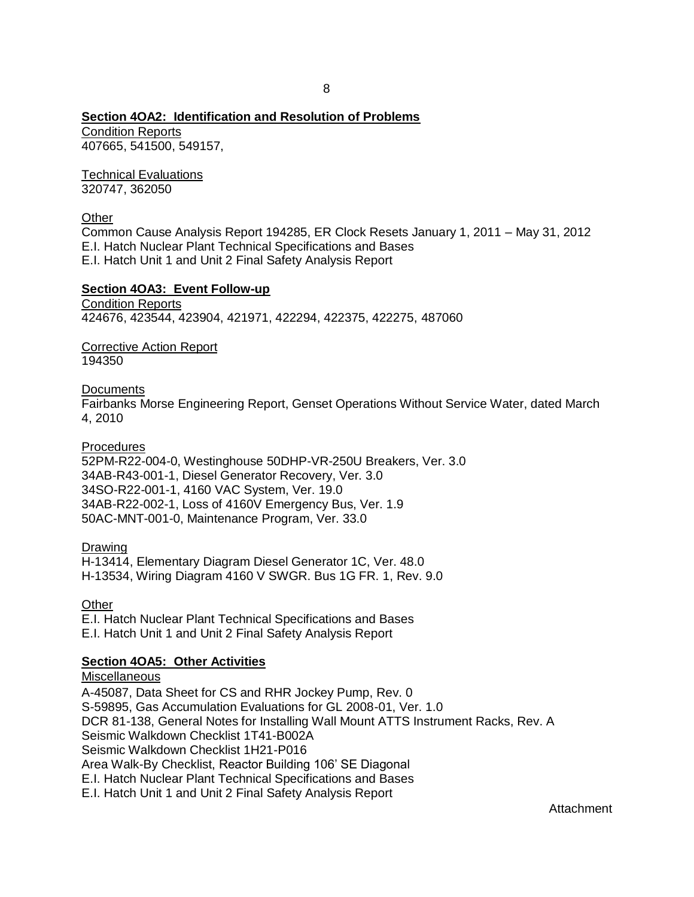## **Section 4OA2: Identification and Resolution of Problems**

Condition Reports 407665, 541500, 549157,

Technical Evaluations 320747, 362050

Other

Common Cause Analysis Report 194285, ER Clock Resets January 1, 2011 – May 31, 2012 E.I. Hatch Nuclear Plant Technical Specifications and Bases E.I. Hatch Unit 1 and Unit 2 Final Safety Analysis Report

#### **Section 4OA3: Event Follow-up**

Condition Reports 424676, 423544, 423904, 421971, 422294, 422375, 422275, 487060

Corrective Action Report 194350

**Documents** 

Fairbanks Morse Engineering Report, Genset Operations Without Service Water, dated March 4, 2010

**Procedures** 

52PM-R22-004-0, Westinghouse 50DHP-VR-250U Breakers, Ver. 3.0 34AB-R43-001-1, Diesel Generator Recovery, Ver. 3.0 34SO-R22-001-1, 4160 VAC System, Ver. 19.0 34AB-R22-002-1, Loss of 4160V Emergency Bus, Ver. 1.9 50AC-MNT-001-0, Maintenance Program, Ver. 33.0

Drawing

H-13414, Elementary Diagram Diesel Generator 1C, Ver. 48.0 H-13534, Wiring Diagram 4160 V SWGR. Bus 1G FR. 1, Rev. 9.0

**Other** 

E.I. Hatch Nuclear Plant Technical Specifications and Bases E.I. Hatch Unit 1 and Unit 2 Final Safety Analysis Report

**Section 4OA5: Other Activities Miscellaneous** A-45087, Data Sheet for CS and RHR Jockey Pump, Rev. 0 S-59895, Gas Accumulation Evaluations for GL 2008-01, Ver. 1.0 DCR 81-138, General Notes for Installing Wall Mount ATTS Instrument Racks, Rev. A Seismic Walkdown Checklist 1T41-B002A Seismic Walkdown Checklist 1H21-P016 Area Walk-By Checklist, Reactor Building 106' SE Diagonal E.I. Hatch Nuclear Plant Technical Specifications and Bases E.I. Hatch Unit 1 and Unit 2 Final Safety Analysis Report

Attachment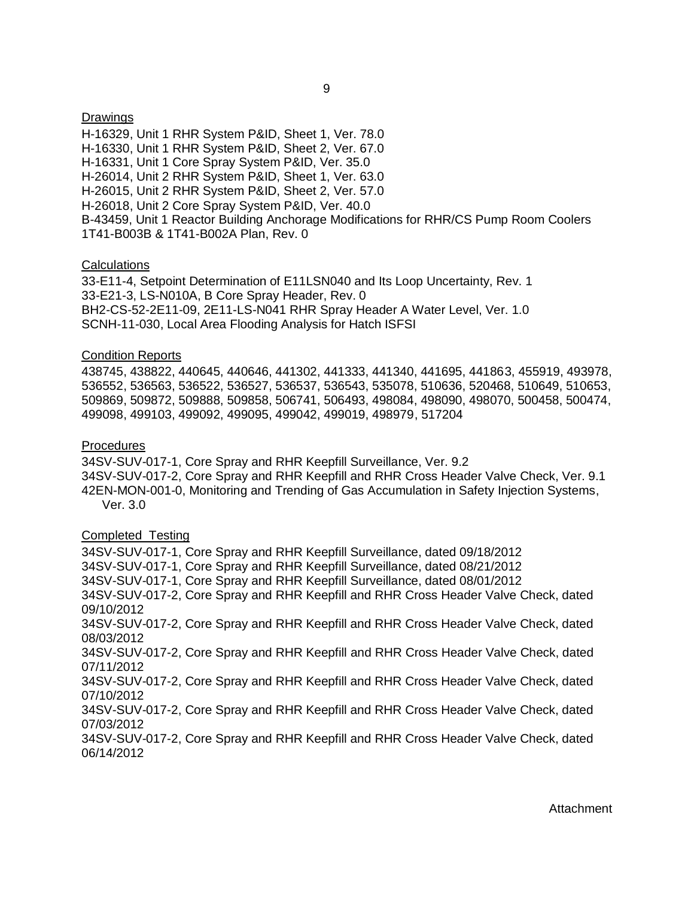#### **Drawings**

H-16329, Unit 1 RHR System P&ID, Sheet 1, Ver. 78.0 H-16330, Unit 1 RHR System P&ID, Sheet 2, Ver. 67.0 H-16331, Unit 1 Core Spray System P&ID, Ver. 35.0 H-26014, Unit 2 RHR System P&ID, Sheet 1, Ver. 63.0 H-26015, Unit 2 RHR System P&ID, Sheet 2, Ver. 57.0 H-26018, Unit 2 Core Spray System P&ID, Ver. 40.0 B-43459, Unit 1 Reactor Building Anchorage Modifications for RHR/CS Pump Room Coolers 1T41-B003B & 1T41-B002A Plan, Rev. 0

#### Calculations

33-E11-4, Setpoint Determination of E11LSN040 and Its Loop Uncertainty, Rev. 1 33-E21-3, LS-N010A, B Core Spray Header, Rev. 0 BH2-CS-52-2E11-09, 2E11-LS-N041 RHR Spray Header A Water Level, Ver. 1.0 SCNH-11-030, Local Area Flooding Analysis for Hatch ISFSI

#### Condition Reports

438745, 438822, 440645, 440646, 441302, 441333, 441340, 441695, 441863, 455919, 493978, 536552, 536563, 536522, 536527, 536537, 536543, 535078, 510636, 520468, 510649, 510653, 509869, 509872, 509888, 509858, 506741, 506493, 498084, 498090, 498070, 500458, 500474, 499098, 499103, 499092, 499095, 499042, 499019, 498979, 517204

#### Procedures

34SV-SUV-017-1, Core Spray and RHR Keepfill Surveillance, Ver. 9.2 34SV-SUV-017-2, Core Spray and RHR Keepfill and RHR Cross Header Valve Check, Ver. 9.1 42EN-MON-001-0, Monitoring and Trending of Gas Accumulation in Safety Injection Systems, Ver. 3.0

#### Completed Testing

34SV-SUV-017-1, Core Spray and RHR Keepfill Surveillance, dated 09/18/2012 34SV-SUV-017-1, Core Spray and RHR Keepfill Surveillance, dated 08/21/2012 34SV-SUV-017-1, Core Spray and RHR Keepfill Surveillance, dated 08/01/2012 34SV-SUV-017-2, Core Spray and RHR Keepfill and RHR Cross Header Valve Check, dated 09/10/2012 34SV-SUV-017-2, Core Spray and RHR Keepfill and RHR Cross Header Valve Check, dated 08/03/2012 34SV-SUV-017-2, Core Spray and RHR Keepfill and RHR Cross Header Valve Check, dated 07/11/2012 34SV-SUV-017-2, Core Spray and RHR Keepfill and RHR Cross Header Valve Check, dated 07/10/2012 34SV-SUV-017-2, Core Spray and RHR Keepfill and RHR Cross Header Valve Check, dated 07/03/2012 34SV-SUV-017-2, Core Spray and RHR Keepfill and RHR Cross Header Valve Check, dated 06/14/2012